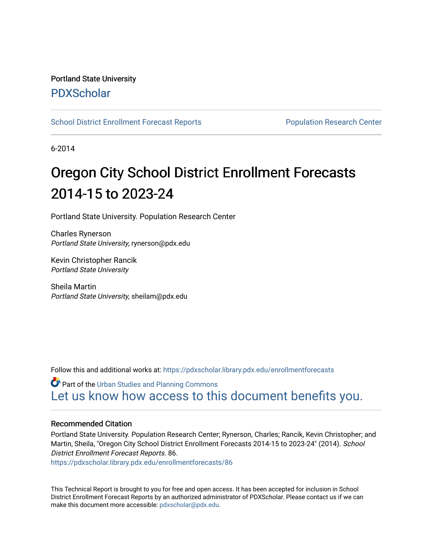# Portland State University [PDXScholar](https://pdxscholar.library.pdx.edu/)

[School District Enrollment Forecast Reports](https://pdxscholar.library.pdx.edu/enrollmentforecasts) **Population Research Center** Population Research Center

6-2014

# Oregon City School District Enrollment Forecasts 2014-15 to 2023-24

Portland State University. Population Research Center

Charles Rynerson Portland State University, rynerson@pdx.edu

Kevin Christopher Rancik Portland State University

Sheila Martin Portland State University, sheilam@pdx.edu

Follow this and additional works at: [https://pdxscholar.library.pdx.edu/enrollmentforecasts](https://pdxscholar.library.pdx.edu/enrollmentforecasts?utm_source=pdxscholar.library.pdx.edu%2Fenrollmentforecasts%2F86&utm_medium=PDF&utm_campaign=PDFCoverPages) 

**Part of the [Urban Studies and Planning Commons](http://network.bepress.com/hgg/discipline/436?utm_source=pdxscholar.library.pdx.edu%2Fenrollmentforecasts%2F86&utm_medium=PDF&utm_campaign=PDFCoverPages)** [Let us know how access to this document benefits you.](http://library.pdx.edu/services/pdxscholar-services/pdxscholar-feedback/?ref=https://pdxscholar.library.pdx.edu/enrollmentforecasts/86) 

## Recommended Citation

Portland State University. Population Research Center; Rynerson, Charles; Rancik, Kevin Christopher; and Martin, Sheila, "Oregon City School District Enrollment Forecasts 2014-15 to 2023-24" (2014). School District Enrollment Forecast Reports. 86.

[https://pdxscholar.library.pdx.edu/enrollmentforecasts/86](https://pdxscholar.library.pdx.edu/enrollmentforecasts/86?utm_source=pdxscholar.library.pdx.edu%2Fenrollmentforecasts%2F86&utm_medium=PDF&utm_campaign=PDFCoverPages)

This Technical Report is brought to you for free and open access. It has been accepted for inclusion in School District Enrollment Forecast Reports by an authorized administrator of PDXScholar. Please contact us if we can make this document more accessible: [pdxscholar@pdx.edu.](mailto:pdxscholar@pdx.edu)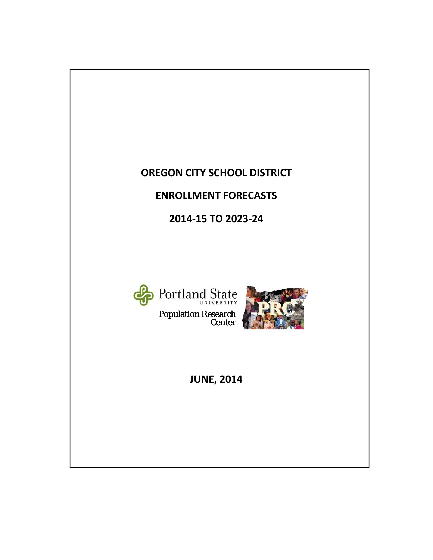# **OREGON CITY SCHOOL DISTRICT**

# **ENROLLMENT FORECASTS**

**2014‐15 TO 2023‐24**



Population Research Center



**JUNE, 2014**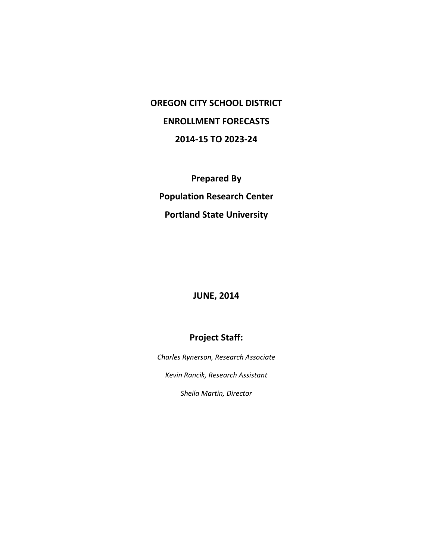# **OREGON CITY SCHOOL DISTRICT ENROLLMENT FORECASTS 2014‐15 TO 2023‐24**

**Prepared By Population Research Center Portland State University**

# **JUNE, 2014**

# **Project Staff:**

*Charles Rynerson, Research Associate*

*Kevin Rancik, Research Assistant*

*Sheila Martin, Director*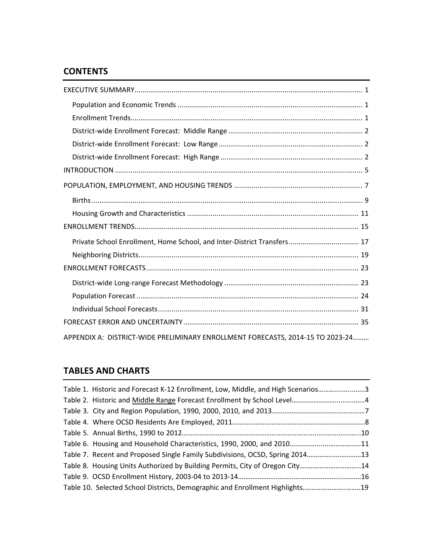# **CONTENTS**

| Private School Enrollment, Home School, and Inter-District Transfers 17        |
|--------------------------------------------------------------------------------|
|                                                                                |
|                                                                                |
|                                                                                |
|                                                                                |
|                                                                                |
|                                                                                |
| APPENDIX A: DISTRICT-WIDE PRELIMINARY ENROLLMENT FORECASTS, 2014-15 TO 2023-24 |

# **TABLES AND CHARTS**

| Table 1. Historic and Forecast K-12 Enrollment, Low, Middle, and High Scenarios3 |  |
|----------------------------------------------------------------------------------|--|
|                                                                                  |  |
|                                                                                  |  |
|                                                                                  |  |
|                                                                                  |  |
|                                                                                  |  |
| Table 7. Recent and Proposed Single Family Subdivisions, OCSD, Spring 201413     |  |
| Table 8. Housing Units Authorized by Building Permits, City of Oregon City14     |  |
|                                                                                  |  |
| Table 10. Selected School Districts, Demographic and Enrollment Highlights19     |  |
|                                                                                  |  |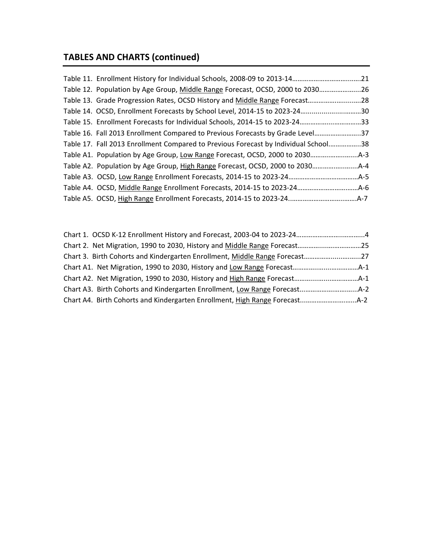# **TABLES AND CHARTS (continued)**

| Table 12. Population by Age Group, Middle Range Forecast, OCSD, 2000 to 203026      |  |
|-------------------------------------------------------------------------------------|--|
| Table 13. Grade Progression Rates, OCSD History and Middle Range Forecast28         |  |
| Table 14. OCSD, Enrollment Forecasts by School Level, 2014-15 to 2023-2430          |  |
| Table 15. Enrollment Forecasts for Individual Schools, 2014-15 to 2023-2433         |  |
| Table 16. Fall 2013 Enrollment Compared to Previous Forecasts by Grade Level37      |  |
| Table 17. Fall 2013 Enrollment Compared to Previous Forecast by Individual School38 |  |
|                                                                                     |  |
|                                                                                     |  |
|                                                                                     |  |
|                                                                                     |  |
|                                                                                     |  |

| Chart 2. Net Migration, 1990 to 2030, History and Middle Range Forecast25   |  |
|-----------------------------------------------------------------------------|--|
| Chart 3. Birth Cohorts and Kindergarten Enrollment, Middle Range Forecast27 |  |
|                                                                             |  |
|                                                                             |  |
|                                                                             |  |
|                                                                             |  |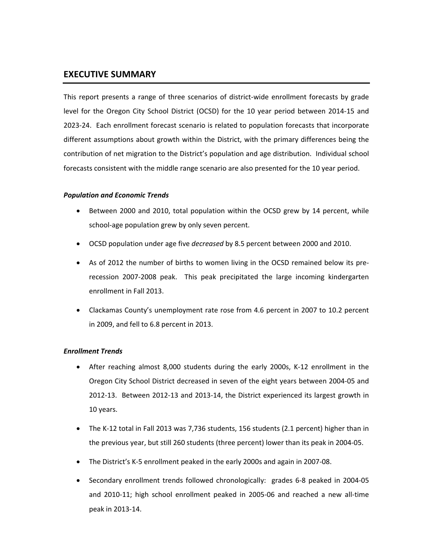## **EXECUTIVE SUMMARY**

This report presents a range of three scenarios of district-wide enrollment forecasts by grade level for the Oregon City School District (OCSD) for the 10 year period between 2014‐15 and 2023‐24. Each enrollment forecast scenario is related to population forecasts that incorporate different assumptions about growth within the District, with the primary differences being the contribution of net migration to the District's population and age distribution. Individual school forecasts consistent with the middle range scenario are also presented for the 10 year period.

## *Population and Economic Trends*

- Between 2000 and 2010, total population within the OCSD grew by 14 percent, while school-age population grew by only seven percent.
- OCSD population under age five *decreased* by 8.5 percent between 2000 and 2010.
- As of 2012 the number of births to women living in the OCSD remained below its prerecession 2007‐2008 peak. This peak precipitated the large incoming kindergarten enrollment in Fall 2013.
- Clackamas County's unemployment rate rose from 4.6 percent in 2007 to 10.2 percent in 2009, and fell to 6.8 percent in 2013.

## *Enrollment Trends*

- After reaching almost 8,000 students during the early 2000s, K‐12 enrollment in the Oregon City School District decreased in seven of the eight years between 2004‐05 and 2012‐13. Between 2012‐13 and 2013‐14, the District experienced its largest growth in 10 years.
- The K-12 total in Fall 2013 was 7,736 students, 156 students (2.1 percent) higher than in the previous year, but still 260 students (three percent) lower than its peak in 2004‐05.
- The District's K‐5 enrollment peaked in the early 2000s and again in 2007‐08.
- Secondary enrollment trends followed chronologically: grades 6‐8 peaked in 2004‐05 and 2010‐11; high school enrollment peaked in 2005‐06 and reached a new all‐time peak in 2013‐14.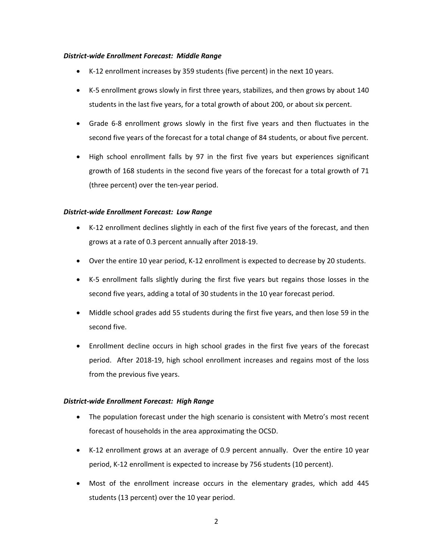### *District‐wide Enrollment Forecast: Middle Range*

- K‐12 enrollment increases by 359 students (five percent) in the next 10 years.
- K‐5 enrollment grows slowly in first three years, stabilizes, and then grows by about 140 students in the last five years, for a total growth of about 200, or about six percent.
- Grade 6‐8 enrollment grows slowly in the first five years and then fluctuates in the second five years of the forecast for a total change of 84 students, or about five percent.
- High school enrollment falls by 97 in the first five years but experiences significant growth of 168 students in the second five years of the forecast for a total growth of 71 (three percent) over the ten‐year period.

## *District‐wide Enrollment Forecast: Low Range*

- K-12 enrollment declines slightly in each of the first five years of the forecast, and then grows at a rate of 0.3 percent annually after 2018‐19.
- Over the entire 10 year period, K‐12 enrollment is expected to decrease by 20 students.
- K‐5 enrollment falls slightly during the first five years but regains those losses in the second five years, adding a total of 30 students in the 10 year forecast period.
- Middle school grades add 55 students during the first five years, and then lose 59 in the second five.
- Enrollment decline occurs in high school grades in the first five years of the forecast period. After 2018‐19, high school enrollment increases and regains most of the loss from the previous five years.

### *District‐wide Enrollment Forecast: High Range*

- The population forecast under the high scenario is consistent with Metro's most recent forecast of households in the area approximating the OCSD.
- K‐12 enrollment grows at an average of 0.9 percent annually. Over the entire 10 year period, K‐12 enrollment is expected to increase by 756 students (10 percent).
- Most of the enrollment increase occurs in the elementary grades, which add 445 students (13 percent) over the 10 year period.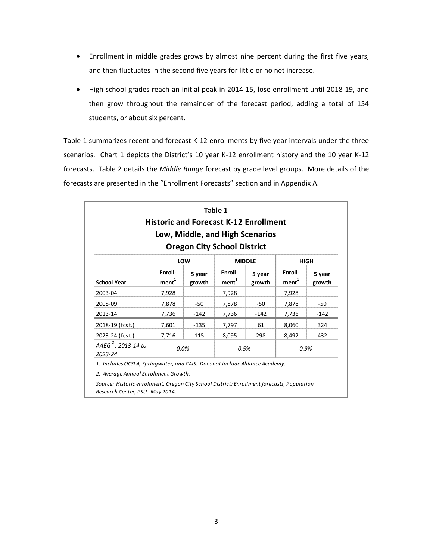- Enrollment in middle grades grows by almost nine percent during the first five years, and then fluctuates in the second five years for little or no net increase.
- High school grades reach an initial peak in 2014‐15, lose enrollment until 2018‐19, and then grow throughout the remainder of the forecast period, adding a total of 154 students, or about six percent.

Table 1 summarizes recent and forecast K-12 enrollments by five year intervals under the three scenarios. Chart 1 depicts the District's 10 year K-12 enrollment history and the 10 year K-12 forecasts. Table 2 details the *Middle Range* forecast by grade level groups. More details of the forecasts are presented in the "Enrollment Forecasts" section and in Appendix A.

|                                           |                         | <b>Historic and Forecast K-12 Enrollment</b><br>Low, Middle, and High Scenarios<br><b>Oregon City School District</b> | Table 1                 |                  |                              |                  |
|-------------------------------------------|-------------------------|-----------------------------------------------------------------------------------------------------------------------|-------------------------|------------------|------------------------------|------------------|
|                                           |                         | LOW                                                                                                                   |                         | <b>MIDDLE</b>    |                              | <b>HIGH</b>      |
| <b>School Year</b>                        | Enroll-<br>$m$ ent $^1$ | 5 year<br>growth                                                                                                      | Enroll-<br>$m$ ent $^1$ | 5 year<br>growth | Enroll-<br>ment <sup>1</sup> | 5 year<br>growth |
| 2003-04                                   | 7,928                   |                                                                                                                       | 7,928                   |                  | 7,928                        |                  |
| 2008-09                                   | 7,878                   | $-50$                                                                                                                 | 7,878                   | $-50$            | 7,878                        | -50              |
| 2013-14                                   | 7,736                   | $-142$                                                                                                                | 7,736                   | $-142$           | 7,736                        | $-142$           |
| 2018-19 (fcst.)                           | 7,601                   | $-135$                                                                                                                | 7,797                   | 61               | 8,060                        | 324              |
| 2023-24 (fcst.)                           | 7,716                   | 115                                                                                                                   | 8,095                   | 298              | 8,492                        | 432              |
| AAEG <sup>2</sup> , 2013-14 to<br>2023-24 | 0.0%                    |                                                                                                                       | 0.5%                    |                  | 0.9%                         |                  |

*2. Average Annual Enrollment Growth.*

*Source: Historic enrollment, Oregon City School District; Enrollment forecasts, Population Research Center, PSU. May 2014.*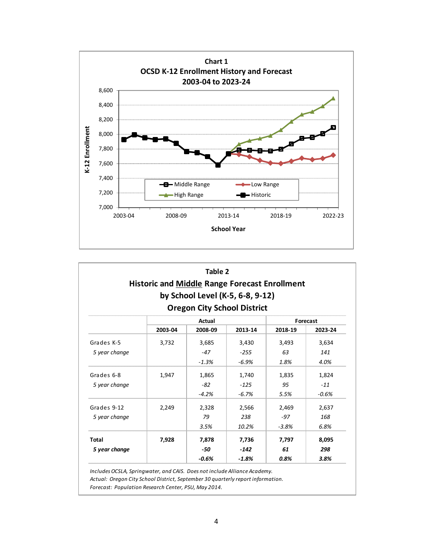

|               | <b>Historic and Middle Range Forecast Enrollment</b> | Table 2 | by School Level (K-5, 6-8, 9-12)<br><b>Oregon City School District</b> |         |          |
|---------------|------------------------------------------------------|---------|------------------------------------------------------------------------|---------|----------|
|               |                                                      | Actual  |                                                                        |         | Forecast |
|               | 2003-04                                              | 2008-09 | 2013-14                                                                | 2018-19 | 2023-24  |
| Grades K-5    | 3,732                                                | 3,685   | 3,430                                                                  | 3,493   | 3,634    |
| 5 year change |                                                      | $-47$   | $-255$                                                                 | 63      | 141      |
|               |                                                      | $-1.3%$ | $-6.9%$                                                                | 1.8%    | 4.0%     |
| Grades 6-8    | 1,947                                                | 1,865   | 1,740                                                                  | 1,835   | 1,824    |
| 5 year change |                                                      | -82     | $-125$                                                                 | 95      | $-11$    |
|               |                                                      | $-4.2%$ | $-6.7%$                                                                | 5.5%    | $-0.6%$  |
| Grades 9-12   | 2,249                                                | 2,328   | 2,566                                                                  | 2,469   | 2,637    |
| 5 year change |                                                      | 79      | 238                                                                    | $-97$   | 168      |
|               |                                                      | 3.5%    | 10.2%                                                                  | $-3.8%$ | 6.8%     |
| <b>Total</b>  | 7,928                                                | 7,878   | 7,736                                                                  | 7,797   | 8,095    |
| 5 year change |                                                      | -50     | $-142$                                                                 | 61      | 298      |
|               |                                                      | $-0.6%$ | $-1.8%$                                                                | 0.8%    | 3.8%     |

*IncludesOCSLA, Springwater, and CAIS. Does not include Alliance Academy.*

*Actual: Oregon City School District, September 30 quarterly report information.*

*Forecast: Population Research Center, PSU, May 2014.*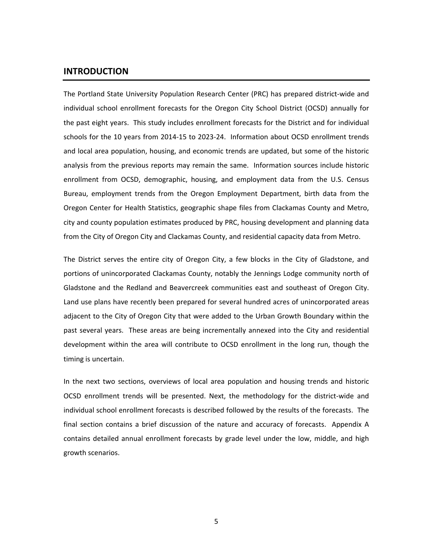## **INTRODUCTION**

The Portland State University Population Research Center (PRC) has prepared district‐wide and individual school enrollment forecasts for the Oregon City School District (OCSD) annually for the past eight years. This study includes enrollment forecasts for the District and for individual schools for the 10 years from 2014‐15 to 2023‐24. Information about OCSD enrollment trends and local area population, housing, and economic trends are updated, but some of the historic analysis from the previous reports may remain the same. Information sources include historic enrollment from OCSD, demographic, housing, and employment data from the U.S. Census Bureau, employment trends from the Oregon Employment Department, birth data from the Oregon Center for Health Statistics, geographic shape files from Clackamas County and Metro, city and county population estimates produced by PRC, housing development and planning data from the City of Oregon City and Clackamas County, and residential capacity data from Metro.

The District serves the entire city of Oregon City, a few blocks in the City of Gladstone, and portions of unincorporated Clackamas County, notably the Jennings Lodge community north of Gladstone and the Redland and Beavercreek communities east and southeast of Oregon City. Land use plans have recently been prepared for several hundred acres of unincorporated areas adjacent to the City of Oregon City that were added to the Urban Growth Boundary within the past several years. These areas are being incrementally annexed into the City and residential development within the area will contribute to OCSD enrollment in the long run, though the timing is uncertain.

In the next two sections, overviews of local area population and housing trends and historic OCSD enrollment trends will be presented. Next, the methodology for the district‐wide and individual school enrollment forecasts is described followed by the results of the forecasts. The final section contains a brief discussion of the nature and accuracy of forecasts. Appendix A contains detailed annual enrollment forecasts by grade level under the low, middle, and high growth scenarios.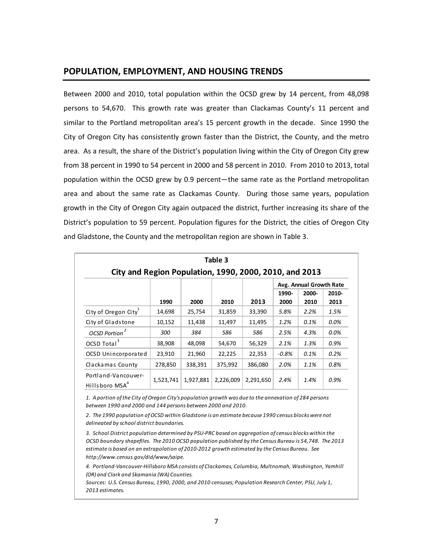## **POPULATION, EMPLOYMENT, AND HOUSING TRENDS**

Between 2000 and 2010, total population within the OCSD grew by 14 percent, from 48,098 persons to 54,670. This growth rate was greater than Clackamas County's 11 percent and similar to the Portland metropolitan area's 15 percent growth in the decade. Since 1990 the City of Oregon City has consistently grown faster than the District, the County, and the metro area. As a result, the share of the District's population living within the City of Oregon City grew from 38 percent in 1990 to 54 percent in 2000 and 58 percent in 2010. From 2010 to 2013, total population within the OCSD grew by 0.9 percent—the same rate as the Portland metropolitan area and about the same rate as Clackamas County. During those same years, population growth in the City of Oregon City again outpaced the district, further increasing its share of the District's population to 59 percent. Population figures for the District, the cities of Oregon City and Gladstone, the County and the metropolitan region are shown in Table 3.

| Table 3<br>City and Region Population, 1990, 2000, 2010, and 2013 |           |           |           |           |               |                                          |               |
|-------------------------------------------------------------------|-----------|-----------|-----------|-----------|---------------|------------------------------------------|---------------|
|                                                                   | 1990      | 2000      | 2010      | 2013      | 1990-<br>2000 | Avg. Annual Growth Rate<br>2000-<br>2010 | 2010-<br>2013 |
| City of Oregon City                                               | 14,698    | 25,754    | 31,859    | 33,390    | 5.8%          | 2.2%                                     | 1.5%          |
| City of Gladstone                                                 | 10,152    | 11,438    | 11,497    | 11,495    | 1.2%          | 0.1%                                     | $0.0\%$       |
| OCSD Portion <sup>2</sup>                                         | 300       | 384       | 586       | 586       | 2.5%          | 4.3%                                     | $0.0\%$       |
| OCSD Total <sup>3</sup>                                           | 38,908    | 48,098    | 54,670    | 56,329    | 2.1%          | 1.3%                                     | 0.9%          |
| OCSD Unincorporated                                               | 23,910    | 21,960    | 22,225    | 22,353    | $-0.8%$       | 0.1%                                     | 0.2%          |
| Clackamas County                                                  | 278,850   | 338,391   | 375,992   | 386,080   | 2.0%          | 1.1%                                     | 0.8%          |
| Portland-Vancouver-<br>Hillsboro MSA <sup>4</sup>                 | 1,523,741 | 1,927,881 | 2,226,009 | 2,291,650 | 2.4%          | 1.4%                                     | 0.9%          |

1. A portion of the City of Oregon City's population growth was due to the annexation of 284 persons *between 1990 and 2000 and 144 persons between 2000 and 2010.*

*2. The 1990 population ofOCSD within Gladstone is an estimate because 1990 census blocks were not delineated by school district boundaries.*

3. School District population determined by PSU-PRC based on aggregation of census blocks within the OCSD boundary shapefiles. The 2010 OCSD population published by the Census Bureau is 54,748. The 2013 *estimate is based on an extrapolation of 2010‐2012 growth estimated by the Census Bureau. See http://www.census.gov/did/www/saipe.*

*4. Portland‐Vancouver‐Hillsboro MSA consists of Clackamas, Columbia, Multnomah, Washington, Yamhill (OR) and Clark and Skamania (WA) Counties.*

*Sources: U.S. Census Bureau, 1990, 2000, and 2010 censuses; Population Research Center, PSU, July 1, 2013 estimates.*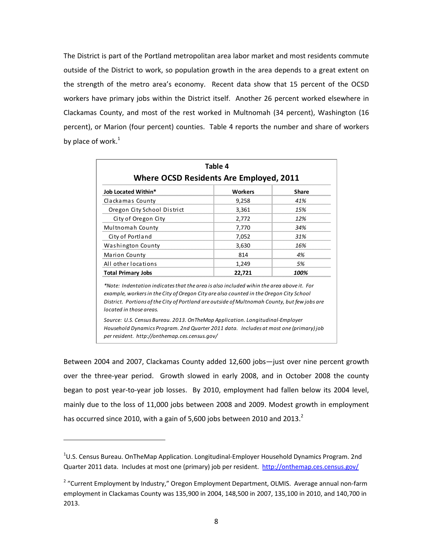The District is part of the Portland metropolitan area labor market and most residents commute outside of the District to work, so population growth in the area depends to a great extent on the strength of the metro area's economy. Recent data show that 15 percent of the OCSD workers have primary jobs within the District itself. Another 26 percent worked elsewhere in Clackamas County, and most of the rest worked in Multnomah (34 percent), Washington (16 percent), or Marion (four percent) counties. Table 4 reports the number and share of workers by place of work. $^1$ 

| <b>Where OCSD Residents Are Employed, 2011</b>                                                                                                                                                                                                                                                                | Table 4        |       |
|---------------------------------------------------------------------------------------------------------------------------------------------------------------------------------------------------------------------------------------------------------------------------------------------------------------|----------------|-------|
| <b>Job Located Within*</b>                                                                                                                                                                                                                                                                                    | <b>Workers</b> | Share |
| Clackamas County                                                                                                                                                                                                                                                                                              | 9,258          | 41%   |
| Oregon City School District                                                                                                                                                                                                                                                                                   | 3,361          | 15%   |
| City of Oregon City                                                                                                                                                                                                                                                                                           | 2,772          | 12%   |
| Multnomah County                                                                                                                                                                                                                                                                                              | 7,770          | 34%   |
| City of Portland                                                                                                                                                                                                                                                                                              | 7,052          | 31%   |
| Washington County                                                                                                                                                                                                                                                                                             | 3,630          | 16%   |
| Marion County                                                                                                                                                                                                                                                                                                 | 814            | 4%    |
| All other locations                                                                                                                                                                                                                                                                                           | 1,249          | 5%    |
| <b>Total Primary Jobs</b>                                                                                                                                                                                                                                                                                     | 22,721         | 100%  |
| *Note: Indentation indicates that the area is also included wihin the area above it. For<br>example, workers in the City of Oregon City are also counted in the Oregon City School<br>District. Portions of the City of Portland are outside of Multnomah County, but few jobs are<br>located in those areas. |                |       |
| Source: U.S. Census Bureau. 2013. On TheMap Application. Longitudinal-Employer<br>Household Dynamics Program. 2nd Quarter 2011 data. Includes at most one (primary) job<br>per resident. http://onthemap.ces.census.gov/                                                                                      |                |       |

Between 2004 and 2007, Clackamas County added 12,600 jobs—just over nine percent growth over the three-year period. Growth slowed in early 2008, and in October 2008 the county began to post year‐to‐year job losses. By 2010, employment had fallen below its 2004 level, mainly due to the loss of 11,000 jobs between 2008 and 2009. Modest growth in employment has occurred since 2010, with a gain of 5,600 jobs between 2010 and 2013.<sup>2</sup>

<sup>&</sup>lt;sup>1</sup>U.S. Census Bureau. OnTheMap Application. Longitudinal-Employer Household Dynamics Program. 2nd Quarter 2011 data. Includes at most one (primary) job per resident. http://onthemap.ces.census.gov/

<sup>&</sup>lt;sup>2</sup> "Current Employment by Industry," Oregon Employment Department, OLMIS. Average annual non-farm employment in Clackamas County was 135,900 in 2004, 148,500 in 2007, 135,100 in 2010, and 140,700 in 2013.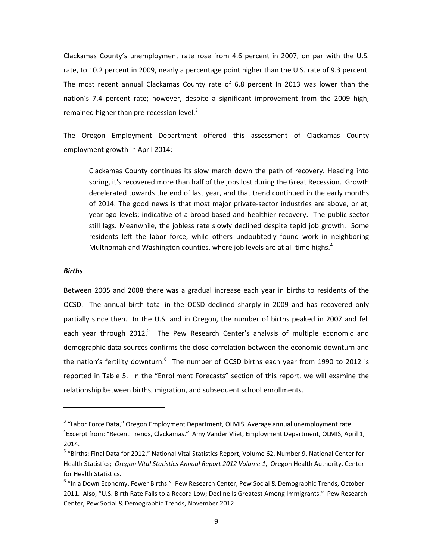Clackamas County's unemployment rate rose from 4.6 percent in 2007, on par with the U.S. rate, to 10.2 percent in 2009, nearly a percentage point higher than the U.S. rate of 9.3 percent. The most recent annual Clackamas County rate of 6.8 percent In 2013 was lower than the nation's 7.4 percent rate; however, despite a significant improvement from the 2009 high, remained higher than pre-recession level. $3$ 

The Oregon Employment Department offered this assessment of Clackamas County employment growth in April 2014:

Clackamas County continues its slow march down the path of recovery. Heading into spring, it's recovered more than half of the jobs lost during the Great Recession. Growth decelerated towards the end of last year, and that trend continued in the early months of 2014. The good news is that most major private‐sector industries are above, or at, year-ago levels; indicative of a broad-based and healthier recovery. The public sector still lags. Meanwhile, the jobless rate slowly declined despite tepid job growth. Some residents left the labor force, while others undoubtedly found work in neighboring Multnomah and Washington counties, where job levels are at all-time highs. $4$ 

#### *Births*

Between 2005 and 2008 there was a gradual increase each year in births to residents of the OCSD. The annual birth total in the OCSD declined sharply in 2009 and has recovered only partially since then. In the U.S. and in Oregon, the number of births peaked in 2007 and fell each year through 2012.<sup>5</sup> The Pew Research Center's analysis of multiple economic and demographic data sources confirms the close correlation between the economic downturn and the nation's fertility downturn.<sup>6</sup> The number of OCSD births each year from 1990 to 2012 is reported in Table 5. In the "Enrollment Forecasts" section of this report, we will examine the relationship between births, migration, and subsequent school enrollments.

<sup>&</sup>lt;sup>3</sup> "Labor Force Data," Oregon Employment Department, OLMIS. Average annual unemployment rate.

<sup>4</sup> Excerpt from: "Recent Trends, Clackamas." Amy Vander Vliet, Employment Department, OLMIS, April 1, 2014.

<sup>5</sup> "Births: Final Data for 2012." National Vital Statistics Report, Volume 62, Number 9, National Center for Health Statistics; *Oregon Vital Statistics Annual Report 2012 Volume 1*, Oregon Health Authority, Center for Health Statistics.

<sup>&</sup>lt;sup>6</sup> "In a Down Economy, Fewer Births." Pew Research Center, Pew Social & Demographic Trends, October 2011. Also, "U.S. Birth Rate Falls to a Record Low; Decline Is Greatest Among Immigrants." Pew Research Center, Pew Social & Demographic Trends, November 2012.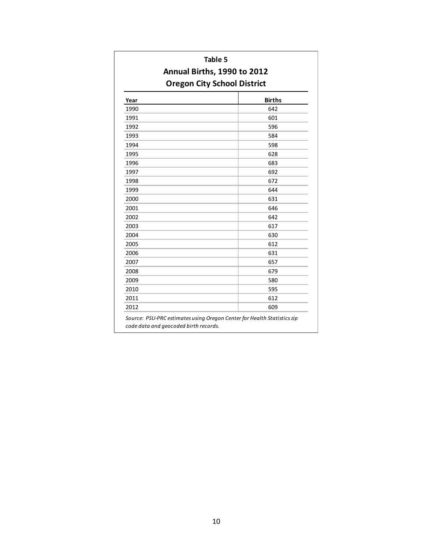| Table 5<br>Annual Births, 1990 to 2012 |                                    |  |  |
|----------------------------------------|------------------------------------|--|--|
|                                        | <b>Oregon City School District</b> |  |  |
| Year                                   | <b>Births</b>                      |  |  |
| 1990                                   | 642                                |  |  |
| 1991                                   | 601                                |  |  |
| 1992                                   | 596                                |  |  |
| 1993                                   | 584                                |  |  |
| 1994                                   | 598                                |  |  |
| 1995                                   | 628                                |  |  |
| 1996                                   | 683                                |  |  |
| 1997                                   | 692                                |  |  |
| 1998                                   | 672                                |  |  |
| 1999                                   | 644                                |  |  |
| 2000                                   | 631                                |  |  |
| 2001                                   | 646                                |  |  |
| 2002                                   | 642                                |  |  |
| 2003                                   | 617                                |  |  |
| 2004                                   | 630                                |  |  |
| 2005                                   | 612                                |  |  |
| 2006                                   | 631                                |  |  |
| 2007                                   | 657                                |  |  |
| 2008                                   | 679                                |  |  |
| 2009                                   | 580                                |  |  |
| 2010                                   | 595                                |  |  |
| 2011                                   | 612                                |  |  |
| 2012                                   | 609                                |  |  |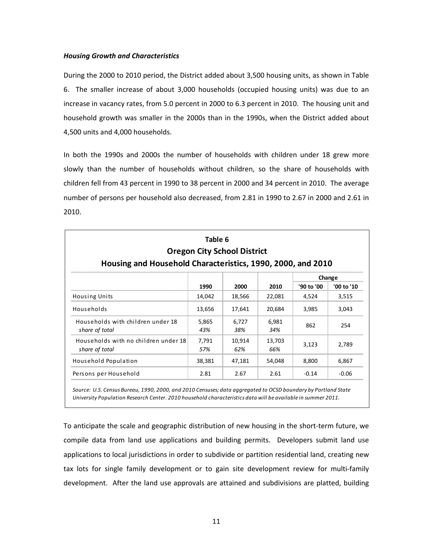#### *Housing Growth and Characteristics*

During the 2000 to 2010 period, the District added about 3,500 housing units, as shown in Table 6. The smaller increase of about 3,000 households (occupied housing units) was due to an increase in vacancy rates, from 5.0 percent in 2000 to 6.3 percent in 2010. The housing unit and household growth was smaller in the 2000s than in the 1990s, when the District added about 4,500 units and 4,000 households.

In both the 1990s and 2000s the number of households with children under 18 grew more slowly than the number of households without children, so the share of households with children fell from 43 percent in 1990 to 38 percent in 2000 and 34 percent in 2010. The average number of persons per household also decreased, from 2.81 in 1990 to 2.67 in 2000 and 2.61 in 2010.

| Housing and Household Characteristics, 1990, 2000, and 2010 | Table 6 | <b>Oregon City School District</b> |        |            |            |
|-------------------------------------------------------------|---------|------------------------------------|--------|------------|------------|
|                                                             |         |                                    |        |            | Change     |
|                                                             | 1990    | 2000                               | 2010   | '90 to '00 | '00 to '10 |
| <b>Housing Units</b>                                        | 14,042  | 18,566                             | 22,081 | 4,524      | 3,515      |
| Households                                                  | 13,656  | 17,641                             | 20,684 | 3,985      | 3,043      |
| Households with children under 18                           | 5,865   | 6,727                              | 6,981  |            |            |
| share of total                                              | 43%     | 38%                                | 34%    | 862        | 254        |
| Households with no children under 18                        | 7,791   | 10,914                             | 13,703 |            |            |
| share of total                                              | 57%     | 62%                                | 66%    | 3,123      | 2,789      |
| Household Population                                        | 38,381  | 47,181                             | 54,048 | 8,800      | 6,867      |
| Persons per Household                                       | 2.81    | 2.67                               | 2.61   | $-0.14$    | $-0.06$    |

Source: U.S. Census Bureau, 1990, 2000, and 2010 Censuses; data aggregated to OCSD boundary by Portland State *University Population Research Center. 2010 household characteristics data will be available in summer 2011.*

To anticipate the scale and geographic distribution of new housing in the short‐term future, we compile data from land use applications and building permits. Developers submit land use applications to local jurisdictions in order to subdivide or partition residential land, creating new tax lots for single family development or to gain site development review for multi-family development. After the land use approvals are attained and subdivisions are platted, building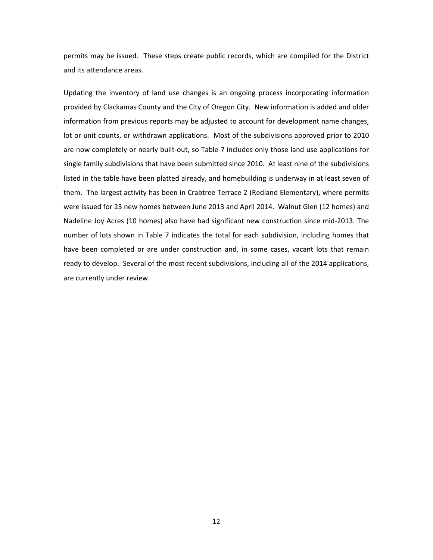permits may be issued. These steps create public records, which are compiled for the District and its attendance areas.

Updating the inventory of land use changes is an ongoing process incorporating information provided by Clackamas County and the City of Oregon City. New information is added and older information from previous reports may be adjusted to account for development name changes, lot or unit counts, or withdrawn applications. Most of the subdivisions approved prior to 2010 are now completely or nearly built-out, so Table 7 includes only those land use applications for single family subdivisions that have been submitted since 2010. At least nine of the subdivisions listed in the table have been platted already, and homebuilding is underway in at least seven of them. The largest activity has been in Crabtree Terrace 2 (Redland Elementary), where permits were issued for 23 new homes between June 2013 and April 2014. Walnut Glen (12 homes) and Nadeline Joy Acres (10 homes) also have had significant new construction since mid‐2013. The number of lots shown in Table 7 indicates the total for each subdivision, including homes that have been completed or are under construction and, in some cases, vacant lots that remain ready to develop. Several of the most recent subdivisions, including all of the 2014 applications, are currently under review.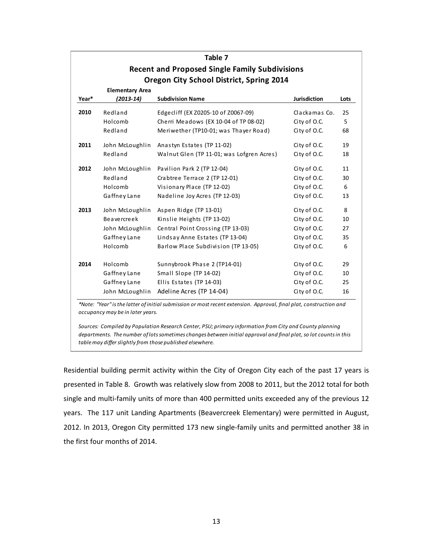|                                                       |                        | Table 7                                   |                     |      |  |  |
|-------------------------------------------------------|------------------------|-------------------------------------------|---------------------|------|--|--|
| <b>Recent and Proposed Single Family Subdivisions</b> |                        |                                           |                     |      |  |  |
|                                                       |                        | Oregon City School District, Spring 2014  |                     |      |  |  |
|                                                       | <b>Elementary Area</b> |                                           |                     |      |  |  |
| Year*                                                 | (2013-14)              | <b>Subdivision Name</b>                   | <b>Jurisdiction</b> | Lots |  |  |
| 2010                                                  | Redland                | Edgecliff (EX Z0205-10 of Z0067-09)       | Clackamas Co.       | 25   |  |  |
|                                                       | Holcomb                | Cherri Meadows (EX 10-04 of TP 08-02)     | City of O.C.        | 5    |  |  |
|                                                       | Redland                | Meriwether (TP10-01; was Thayer Road)     | City of O.C.        | 68   |  |  |
| 2011                                                  | John McLoughlin        | Anastyn Estates (TP 11-02)                | City of O.C.        | 19   |  |  |
|                                                       | Redland                | Walnut Glen (TP 11-01; was Lofgren Acres) | City of O.C.        | 18   |  |  |
| 2012                                                  | John McLoughlin        | Pavilion Park 2 (TP 12-04)                | City of O.C.        | 11   |  |  |
|                                                       | Redland                | Crabtree Terrace 2 (TP 12-01)             | City of O.C.        | 30   |  |  |
|                                                       | Holcomb                | Visionary Place (TP 12-02)                | City of O.C.        | 6    |  |  |
|                                                       | Gaffney Lane           | Nadeline Joy Acres (TP 12-03)             | City of O.C.        | 13   |  |  |
| 2013                                                  | John McLoughlin        | Aspen Ridge (TP 13-01)                    | City of O.C.        | 8    |  |  |
|                                                       | <b>Beavercreek</b>     | Kinslie Heights (TP 13-02)                | City of O.C.        | 10   |  |  |
|                                                       | John McLoughlin        | Central Point Crossing (TP 13-03)         | City of O.C.        | 27   |  |  |
|                                                       | Gaffney Lane           | Lindsay Anne Estates (TP 13-04)           | City of O.C.        | 35   |  |  |
|                                                       | Holcomb                | Barlow Place Subdivision (TP 13-05)       | City of O.C.        | 6    |  |  |
| 2014                                                  | Holcomb                | Sunnybrook Phase 2 (TP14-01)              | City of O.C.        | 29   |  |  |
|                                                       | Gaffney Lane           | Small Slope (TP 14-02)                    | City of O.C.        | 10   |  |  |
|                                                       | Gaffney Lane           | Ellis Estates (TP 14-03)                  | City of O.C.        | 25   |  |  |
|                                                       | John McLoughlin        | Adeline Acres (TP 14-04)                  | City of O.C.        | 16   |  |  |

\*Note: "Year" is the latter of initial submission or most recent extension. Approval, final plat, construction and *occupancy may be in later years.*

*Sources: Compiled by Population Research Center, PSU; primary information from City and County planning* departments. The number of lots sometimes changes between initial approval and final plat, so lot counts in this *tablemay differ slightly from those published elsewhere.*

Residential building permit activity within the City of Oregon City each of the past 17 years is presented in Table 8. Growth was relatively slow from 2008 to 2011, but the 2012 total for both single and multi-family units of more than 400 permitted units exceeded any of the previous 12 years. The 117 unit Landing Apartments (Beavercreek Elementary) were permitted in August, 2012. In 2013, Oregon City permitted 173 new single‐family units and permitted another 38 in the first four months of 2014.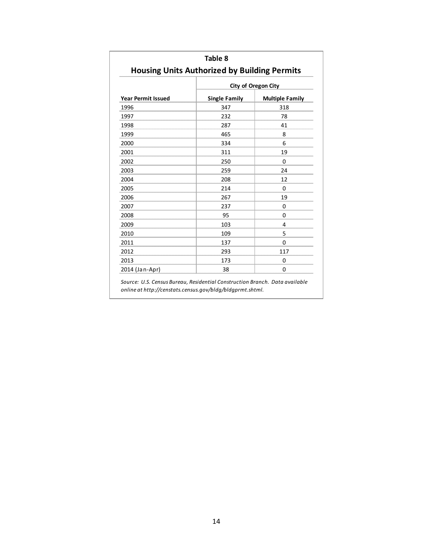|                           |                      | <b>City of Oregon City</b> |
|---------------------------|----------------------|----------------------------|
| <b>Year Permit Issued</b> | <b>Single Family</b> | <b>Multiple Family</b>     |
| 1996                      | 347                  | 318                        |
| 1997                      | 232                  | 78                         |
| 1998                      | 287                  | 41                         |
| 1999                      | 465                  | 8                          |
| 2000                      | 334                  | 6                          |
| 2001                      | 311                  | 19                         |
| 2002                      | 250                  | $\Omega$                   |
| 2003                      | 259                  | 24                         |
| 2004                      | 208                  | 12                         |
| 2005                      | 214                  | $\Omega$                   |
| 2006                      | 267                  | 19                         |
| 2007                      | 237                  | $\Omega$                   |
| 2008                      | 95                   | $\Omega$                   |
| 2009                      | 103                  | 4                          |
| 2010                      | 109                  | 5                          |
| 2011                      | 137                  | $\Omega$                   |
| 2012                      | 293                  | 117                        |
| 2013                      | 173                  | 0                          |
| 2014 (Jan-Apr)            | 38                   | 0                          |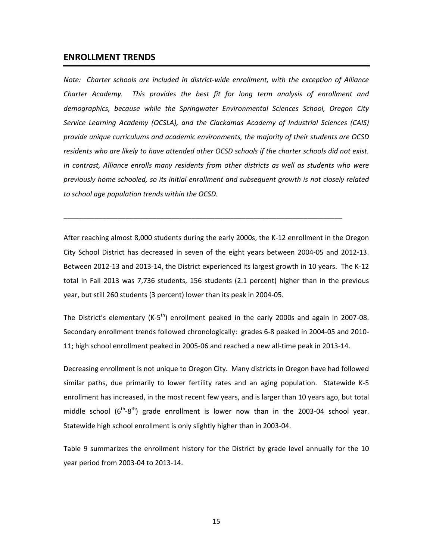## **ENROLLMENT TRENDS**

*Note: Charter schools are included in district‐wide enrollment, with the exception of Alliance Charter Academy. This provides the best fit for long term analysis of enrollment and demographics, because while the Springwater Environmental Sciences School, Oregon City Service Learning Academy (OCSLA), and the Clackamas Academy of Industrial Sciences (CAIS) provide unique curriculums and academic environments, the majority of their students are OCSD* residents who are likely to have attended other OCSD schools if the charter schools did not exist. *In contrast, Alliance enrolls many residents from other districts as well as students who were previously home schooled, so its initial enrollment and subsequent growth is not closely related to school age population trends within the OCSD.*

After reaching almost 8,000 students during the early 2000s, the K‐12 enrollment in the Oregon City School District has decreased in seven of the eight years between 2004‐05 and 2012‐13. Between 2012‐13 and 2013‐14, the District experienced its largest growth in 10 years. The K‐12 total in Fall 2013 was 7,736 students, 156 students (2.1 percent) higher than in the previous year, but still 260 students (3 percent) lower than its peak in 2004‐05.

\_\_\_\_\_\_\_\_\_\_\_\_\_\_\_\_\_\_\_\_\_\_\_\_\_\_\_\_\_\_\_\_\_\_\_\_\_\_\_\_\_\_\_\_\_\_\_\_\_\_\_\_\_\_\_\_\_\_\_\_\_\_\_\_\_\_\_\_\_\_\_\_

The District's elementary (K-5<sup>th</sup>) enrollment peaked in the early 2000s and again in 2007-08. Secondary enrollment trends followed chronologically: grades 6‐8 peaked in 2004‐05 and 2010‐ 11; high school enrollment peaked in 2005‐06 and reached a new all‐time peak in 2013‐14.

Decreasing enrollment is not unique to Oregon City. Many districts in Oregon have had followed similar paths, due primarily to lower fertility rates and an aging population. Statewide K-5 enrollment has increased, in the most recent few years, and is larger than 10 years ago, but total middle school  $(6^{th}-8^{th})$  grade enrollment is lower now than in the 2003-04 school year. Statewide high school enrollment is only slightly higher than in 2003‐04.

Table 9 summarizes the enrollment history for the District by grade level annually for the 10 year period from 2003‐04 to 2013‐14.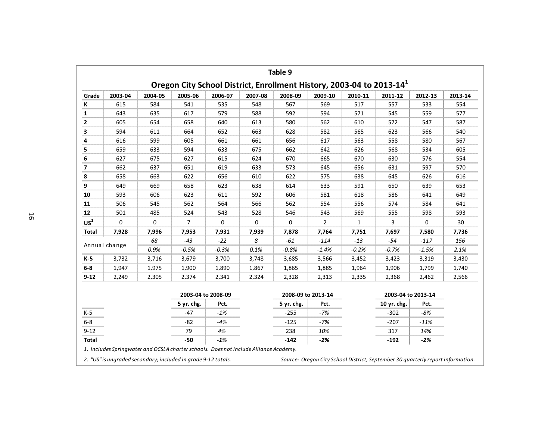|                 |               |             |                |                    |         | Table 9<br>Oregon City School District, Enrollment History, 2003-04 to 2013-14 <sup>1</sup> |                    |              |                    |         |         |
|-----------------|---------------|-------------|----------------|--------------------|---------|---------------------------------------------------------------------------------------------|--------------------|--------------|--------------------|---------|---------|
| Grade           | 2003-04       | 2004-05     | 2005-06        | 2006-07            | 2007-08 | 2008-09                                                                                     | 2009-10            | 2010-11      | 2011-12            | 2012-13 | 2013-14 |
| ĸ               | 615           | 584         | 541            | 535                | 548     | 567                                                                                         | 569                | 517          | 557                | 533     | 554     |
| 1               | 643           | 635         | 617            | 579                | 588     | 592                                                                                         | 594                | 571          | 545                | 559     | 577     |
| 2               | 605           | 654         | 658            | 640                | 613     | 580                                                                                         | 562                | 610          | 572                | 547     | 587     |
| 3               | 594           | 611         | 664            | 652                | 663     | 628                                                                                         | 582                | 565          | 623                | 566     | 540     |
| 4               | 616           | 599         | 605            | 661                | 661     | 656                                                                                         | 617                | 563          | 558                | 580     | 567     |
| 5               | 659           | 633         | 594            | 633                | 675     | 662                                                                                         | 642                | 626          | 568                | 534     | 605     |
| 6               | 627           | 675         | 627            | 615                | 624     | 670                                                                                         | 665                | 670          | 630                | 576     | 554     |
| $\overline{ }$  | 662           | 637         | 651            | 619                | 633     | 573                                                                                         | 645                | 656          | 631                | 597     | 570     |
| 8               | 658           | 663         | 622            | 656                | 610     | 622                                                                                         | 575                | 638          | 645                | 626     | 616     |
| 9               | 649           | 669         | 658            | 623                | 638     | 614                                                                                         | 633                | 591          | 650                | 639     | 653     |
| 10              | 593           | 606         | 623            | 611                | 592     | 606                                                                                         | 581                | 618          | 586                | 641     | 649     |
| 11              | 506           | 545         | 562            | 564                | 566     | 562                                                                                         | 554                | 556          | 574                | 584     | 641     |
| 12              | 501           | 485         | 524            | 543                | 528     | 546                                                                                         | 543                | 569          | 555                | 598     | 593     |
| US <sup>2</sup> | 0             | $\mathbf 0$ | $\overline{7}$ | 0                  | 0       | $\mathbf 0$                                                                                 | $\overline{2}$     | $\mathbf{1}$ | 3                  | 0       | 30      |
| <b>Total</b>    | 7,928         | 7,996       | 7,953          | 7,931              | 7,939   | 7,878                                                                                       | 7,764              | 7,751        | 7,697              | 7,580   | 7,736   |
|                 |               | 68          | $-43$          | $-22$              | 8       | $-61$                                                                                       | $-114$             | $-13$        | $-54$              | $-117$  | 156     |
|                 | Annual change | 0.9%        | $-0.5%$        | $-0.3%$            | 0.1%    | $-0.8%$                                                                                     | $-1.4%$            | $-0.2%$      | $-0.7%$            | $-1.5%$ | 2.1%    |
| K-5             | 3,732         | 3,716       | 3,679          | 3,700              | 3,748   | 3,685                                                                                       | 3,566              | 3,452        | 3,423              | 3,319   | 3,430   |
| $6-8$           | 1,947         | 1,975       | 1,900          | 1,890              | 1,867   | 1,865                                                                                       | 1,885              | 1,964        | 1,906              | 1,799   | 1,740   |
| $9 - 12$        | 2,249         | 2,305       | 2,374          | 2,341              | 2,324   | 2,328                                                                                       | 2,313              | 2,335        | 2,368              | 2,462   | 2,566   |
|                 |               |             |                | 2003-04 to 2008-09 |         |                                                                                             | 2008-09 to 2013-14 |              | 2003-04 to 2013-14 |         |         |
|                 |               |             | 5 yr. chg.     | Pct.               |         | 5 yr. chg.                                                                                  | Pct.               |              | 10 yr. chg.        | Pct.    |         |
| $K-5$           |               |             | -47            | $-1%$              |         | $-255$                                                                                      | $-7%$              |              | $-302$             | -8%     |         |
| $6-8$           |               |             | $-82$          | -4%                |         | $-125$                                                                                      | $-7%$              |              | $-207$             | $-11%$  |         |
| $9 - 12$        |               |             | 79             | 4%                 |         | 238                                                                                         | 10%                |              | 317                | 14%     |         |
| <b>Total</b>    |               |             | $-50$          | $-1%$              |         | $-142$                                                                                      | $-2%$              |              | $-192$             | $-2%$   |         |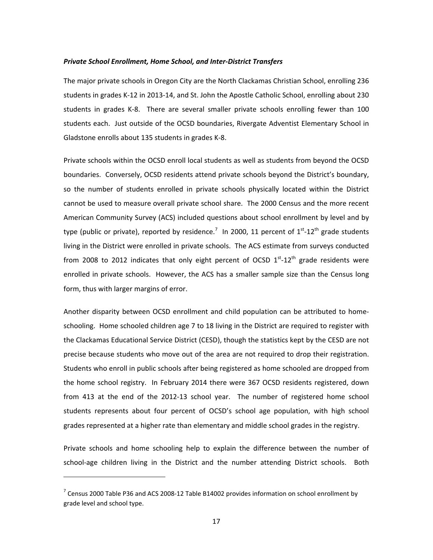#### *Private School Enrollment, Home School, and Inter‐District Transfers*

The major private schools in Oregon City are the North Clackamas Christian School, enrolling 236 students in grades K‐12 in 2013‐14, and St. John the Apostle Catholic School, enrolling about 230 students in grades K-8. There are several smaller private schools enrolling fewer than 100 students each. Just outside of the OCSD boundaries, Rivergate Adventist Elementary School in Gladstone enrolls about 135 students in grades K‐8.

Private schools within the OCSD enroll local students as well as students from beyond the OCSD boundaries. Conversely, OCSD residents attend private schools beyond the District's boundary, so the number of students enrolled in private schools physically located within the District cannot be used to measure overall private school share. The 2000 Census and the more recent American Community Survey (ACS) included questions about school enrollment by level and by type (public or private), reported by residence.<sup>7</sup> In 2000, 11 percent of 1<sup>st</sup>-12<sup>th</sup> grade students living in the District were enrolled in private schools. The ACS estimate from surveys conducted from 2008 to 2012 indicates that only eight percent of OCSD  $1^{st}$ -12<sup>th</sup> grade residents were enrolled in private schools. However, the ACS has a smaller sample size than the Census long form, thus with larger margins of error.

Another disparity between OCSD enrollment and child population can be attributed to home‐ schooling. Home schooled children age 7 to 18 living in the District are required to register with the Clackamas Educational Service District (CESD), though the statistics kept by the CESD are not precise because students who move out of the area are not required to drop their registration. Students who enroll in public schools after being registered as home schooled are dropped from the home school registry. In February 2014 there were 367 OCSD residents registered, down from 413 at the end of the 2012-13 school year. The number of registered home school students represents about four percent of OCSD's school age population, with high school grades represented at a higher rate than elementary and middle school grades in the registry.

Private schools and home schooling help to explain the difference between the number of school-age children living in the District and the number attending District schools. Both

<sup>7</sup> Census 2000 Table P36 and ACS 2008‐12 Table B14002 provides information on school enrollment by grade level and school type.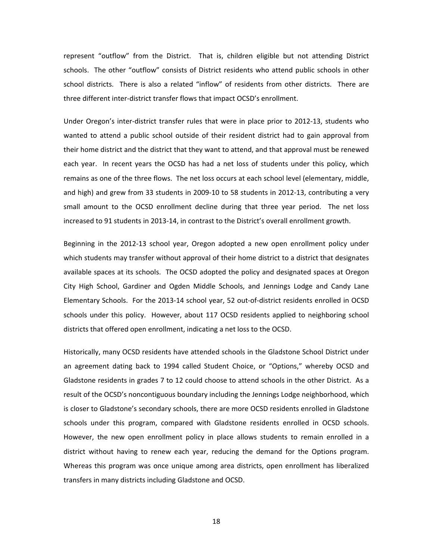represent "outflow" from the District. That is, children eligible but not attending District schools. The other "outflow" consists of District residents who attend public schools in other school districts. There is also a related "inflow" of residents from other districts. There are three different inter‐district transfer flows that impact OCSD's enrollment.

Under Oregon's inter‐district transfer rules that were in place prior to 2012‐13, students who wanted to attend a public school outside of their resident district had to gain approval from their home district and the district that they want to attend, and that approval must be renewed each year. In recent years the OCSD has had a net loss of students under this policy, which remains as one of the three flows. The net loss occurs at each school level (elementary, middle, and high) and grew from 33 students in 2009-10 to 58 students in 2012-13, contributing a very small amount to the OCSD enrollment decline during that three year period. The net loss increased to 91 students in 2013‐14, in contrast to the District's overall enrollment growth.

Beginning in the 2012‐13 school year, Oregon adopted a new open enrollment policy under which students may transfer without approval of their home district to a district that designates available spaces at its schools. The OCSD adopted the policy and designated spaces at Oregon City High School, Gardiner and Ogden Middle Schools, and Jennings Lodge and Candy Lane Elementary Schools. For the 2013‐14 school year, 52 out‐of‐district residents enrolled in OCSD schools under this policy. However, about 117 OCSD residents applied to neighboring school districts that offered open enrollment, indicating a net loss to the OCSD.

Historically, many OCSD residents have attended schools in the Gladstone School District under an agreement dating back to 1994 called Student Choice, or "Options," whereby OCSD and Gladstone residents in grades 7 to 12 could choose to attend schools in the other District. As a result of the OCSD's noncontiguous boundary including the Jennings Lodge neighborhood, which is closer to Gladstone's secondary schools, there are more OCSD residents enrolled in Gladstone schools under this program, compared with Gladstone residents enrolled in OCSD schools. However, the new open enrollment policy in place allows students to remain enrolled in a district without having to renew each year, reducing the demand for the Options program. Whereas this program was once unique among area districts, open enrollment has liberalized transfers in many districts including Gladstone and OCSD.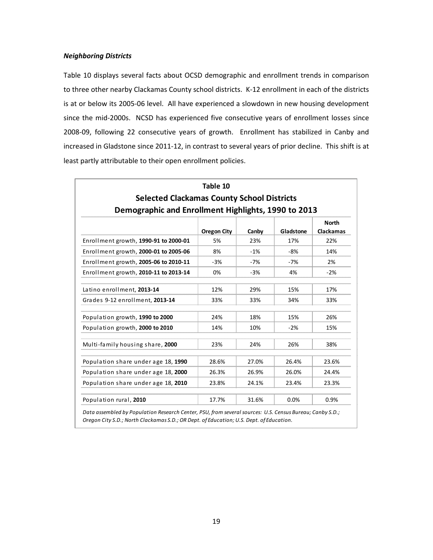#### *Neighboring Districts*

Table 10 displays several facts about OCSD demographic and enrollment trends in comparison to three other nearby Clackamas County school districts. K‐12 enrollment in each of the districts is at or below its 2005‐06 level. All have experienced a slowdown in new housing development since the mid-2000s. NCSD has experienced five consecutive years of enrollment losses since 2008‐09, following 22 consecutive years of growth. Enrollment has stabilized in Canby and increased in Gladstone since 2011‐12, in contrast to several years of prior decline. This shift is at least partly attributable to their open enrollment policies.

|                                                     | Table 10           |       |           |                                  |
|-----------------------------------------------------|--------------------|-------|-----------|----------------------------------|
| <b>Selected Clackamas County School Districts</b>   |                    |       |           |                                  |
| Demographic and Enrollment Highlights, 1990 to 2013 |                    |       |           |                                  |
|                                                     | <b>Oregon City</b> | Canby | Gladstone | <b>North</b><br><b>Clackamas</b> |
| Enrollment growth, 1990-91 to 2000-01               | 5%                 | 23%   | 17%       | 22%                              |
| Enrollment growth, 2000-01 to 2005-06               | 8%                 | $-1%$ | $-8%$     | 14%                              |
| Enrollment growth, 2005-06 to 2010-11               | $-3%$              | $-7%$ | $-7%$     | 2%                               |
| Enrollment growth, 2010-11 to 2013-14               | 0%                 | $-3%$ | 4%        | $-2%$                            |
| Latino enrollment, 2013-14                          | 12%                | 29%   | 15%       | 17%                              |
| Grades 9-12 enrollment, 2013-14                     | 33%                | 33%   | 34%       | 33%                              |
| Population growth, 1990 to 2000                     | 24%                | 18%   | 15%       | 26%                              |
| Population growth, 2000 to 2010                     | 14%                | 10%   | $-2%$     | 15%                              |
| Multi-family housing share, 2000                    | 23%                | 24%   | 26%       | 38%                              |
| Population share under age 18, 1990                 | 28.6%              | 27.0% | 26.4%     | 23.6%                            |
| Population share under age 18, 2000                 | 26.3%              | 26.9% | 26.0%     | 24.4%                            |
| Population share under age 18, 2010                 | 23.8%              | 24.1% | 23.4%     | 23.3%                            |
| Population rural, 2010                              | 17.7%              | 31.6% | 0.0%      | 0.9%                             |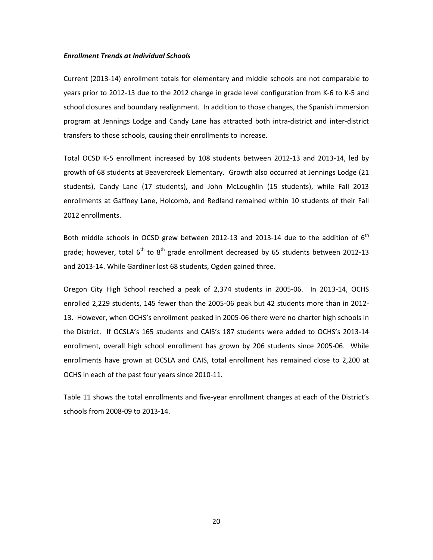#### *Enrollment Trends at Individual Schools*

Current (2013‐14) enrollment totals for elementary and middle schools are not comparable to years prior to 2012‐13 due to the 2012 change in grade level configuration from K‐6 to K‐5 and school closures and boundary realignment. In addition to those changes, the Spanish immersion program at Jennings Lodge and Candy Lane has attracted both intra‐district and inter‐district transfers to those schools, causing their enrollments to increase.

Total OCSD K‐5 enrollment increased by 108 students between 2012‐13 and 2013‐14, led by growth of 68 students at Beavercreek Elementary. Growth also occurred at Jennings Lodge (21 students), Candy Lane (17 students), and John McLoughlin (15 students), while Fall 2013 enrollments at Gaffney Lane, Holcomb, and Redland remained within 10 students of their Fall 2012 enrollments.

Both middle schools in OCSD grew between 2012-13 and 2013-14 due to the addition of  $6<sup>th</sup>$ grade; however, total  $6<sup>th</sup>$  to  $8<sup>th</sup>$  grade enrollment decreased by 65 students between 2012-13 and 2013‐14. While Gardiner lost 68 students, Ogden gained three.

Oregon City High School reached a peak of 2,374 students in 2005‐06. In 2013‐14, OCHS enrolled 2,229 students, 145 fewer than the 2005‐06 peak but 42 students more than in 2012‐ 13. However, when OCHS's enrollment peaked in 2005‐06 there were no charter high schools in the District. If OCSLA's 165 students and CAIS's 187 students were added to OCHS's 2013‐14 enrollment, overall high school enrollment has grown by 206 students since 2005‐06. While enrollments have grown at OCSLA and CAIS, total enrollment has remained close to 2,200 at OCHS in each of the past four years since 2010‐11.

Table 11 shows the total enrollments and five-year enrollment changes at each of the District's schools from 2008‐09 to 2013‐14.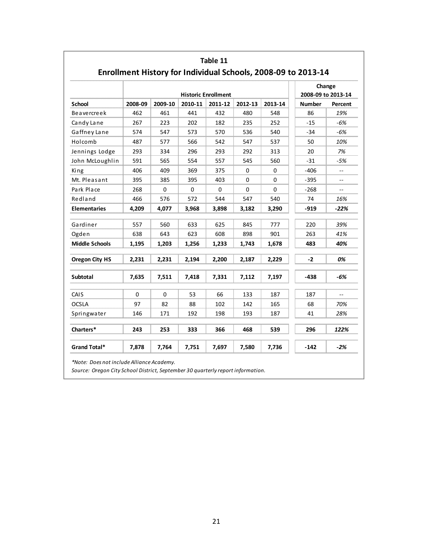|                       |          |             |          | <b>Historic Enrollment</b> |          |          | Change<br>2008-09 to 2013-14 |         |
|-----------------------|----------|-------------|----------|----------------------------|----------|----------|------------------------------|---------|
| <b>School</b>         | 2008-09  | 2009-10     | 2010-11  | 2011-12                    | 2012-13  | 2013-14  | <b>Number</b>                | Percent |
| Beavercreek           | 462      | 461         | 441      | 432                        | 480      | 548      | 86                           | 19%     |
| Candy Lane            | 267      | 223         | 202      | 182                        | 235      | 252      | $-15$                        | $-6%$   |
| Gaffney Lane          | 574      | 547         | 573      | 570                        | 536      | 540      | $-34$                        | $-6%$   |
| Holcomb               | 487      | 577         | 566      | 542                        | 547      | 537      | 50                           | 10%     |
| Jennings Lodge        | 293      | 334         | 296      | 293                        | 292      | 313      | 20                           | 7%      |
| John McLoughlin       | 591      | 565         | 554      | 557                        | 545      | 560      | $-31$                        | $-5%$   |
| King                  | 406      | 409         | 369      | 375                        | 0        | $\Omega$ | $-406$                       | $-$     |
| Mt. Pleasant          | 395      | 385         | 395      | 403                        | 0        | 0        | $-395$                       | $-$     |
| Park Place            | 268      | $\mathbf 0$ | $\Omega$ | $\Omega$                   | $\Omega$ | $\Omega$ | $-268$                       | $\sim$  |
| Redland               | 466      | 576         | 572      | 544                        | 547      | 540      | 74                           | 16%     |
| <b>Elementaries</b>   | 4,209    | 4,077       | 3,968    | 3,898                      | 3,182    | 3,290    | $-919$                       | $-22%$  |
| Gardiner              | 557      | 560         | 633      | 625                        | 845      | 777      | 220                          | 39%     |
| Ogden                 | 638      | 643         | 623      | 608                        | 898      | 901      | 263                          | 41%     |
| <b>Middle Schools</b> | 1,195    | 1,203       | 1,256    | 1,233                      | 1,743    | 1,678    | 483                          | 40%     |
| <b>Oregon City HS</b> | 2,231    | 2,231       | 2,194    | 2,200                      | 2,187    | 2,229    | $-2$                         | 0%      |
| <b>Subtotal</b>       | 7,635    | 7,511       | 7,418    | 7,331                      | 7,112    | 7,197    | $-438$                       | $-6%$   |
| CAIS                  | $\Omega$ | $\mathbf 0$ | 53       | 66                         | 133      | 187      | 187                          |         |
| <b>OCSLA</b>          | 97       | 82          | 88       | 102                        | 142      | 165      | 68                           | 70%     |
| Springwater           | 146      | 171         | 192      | 198                        | 193      | 187      | 41                           | 28%     |
| Charters*             | 243      | 253         | 333      | 366                        | 468      | 539      | 296                          | 122%    |
| Grand Total*          | 7,878    | 7,764       | 7,751    | 7,697                      | 7,580    | 7,736    | $-142$                       | $-2%$   |

*Source: Oregon City School District, September 30 quarterly report information.*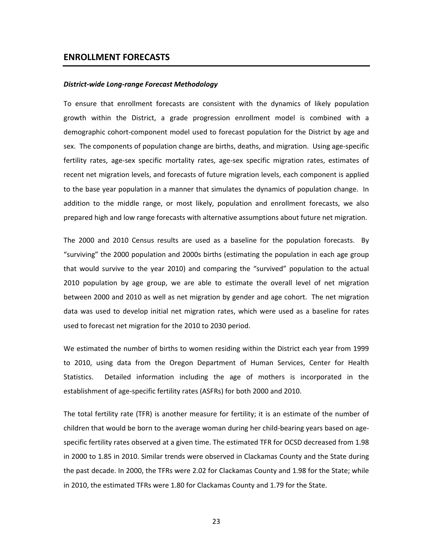## **ENROLLMENT FORECASTS**

#### *District‐wide Long‐range Forecast Methodology*

To ensure that enrollment forecasts are consistent with the dynamics of likely population growth within the District, a grade progression enrollment model is combined with a demographic cohort‐component model used to forecast population for the District by age and sex. The components of population change are births, deaths, and migration. Using age-specific fertility rates, age‐sex specific mortality rates, age‐sex specific migration rates, estimates of recent net migration levels, and forecasts of future migration levels, each component is applied to the base year population in a manner that simulates the dynamics of population change. In addition to the middle range, or most likely, population and enrollment forecasts, we also prepared high and low range forecasts with alternative assumptions about future net migration.

The 2000 and 2010 Census results are used as a baseline for the population forecasts. By "surviving" the 2000 population and 2000s births (estimating the population in each age group that would survive to the year 2010) and comparing the "survived" population to the actual 2010 population by age group, we are able to estimate the overall level of net migration between 2000 and 2010 as well as net migration by gender and age cohort. The net migration data was used to develop initial net migration rates, which were used as a baseline for rates used to forecast net migration for the 2010 to 2030 period.

We estimated the number of births to women residing within the District each year from 1999 to 2010, using data from the Oregon Department of Human Services, Center for Health Statistics. Detailed information including the age of mothers is incorporated in the establishment of age‐specific fertility rates (ASFRs) for both 2000 and 2010.

The total fertility rate (TFR) is another measure for fertility; it is an estimate of the number of children that would be born to the average woman during her child‐bearing years based on age‐ specific fertility rates observed at a given time. The estimated TFR for OCSD decreased from 1.98 in 2000 to 1.85 in 2010. Similar trends were observed in Clackamas County and the State during the past decade. In 2000, the TFRs were 2.02 for Clackamas County and 1.98 for the State; while in 2010, the estimated TFRs were 1.80 for Clackamas County and 1.79 for the State.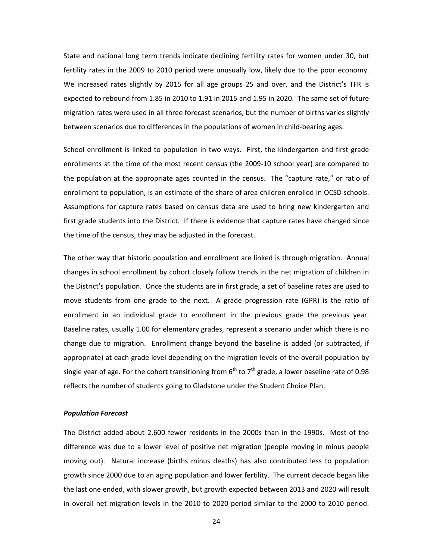State and national long term trends indicate declining fertility rates for women under 30, but fertility rates in the 2009 to 2010 period were unusually low, likely due to the poor economy. We increased rates slightly by 2015 for all age groups 25 and over, and the District's TFR is expected to rebound from 1.85 in 2010 to 1.91 in 2015 and 1.95 in 2020. The same set of future migration rates were used in all three forecast scenarios, but the number of births varies slightly between scenarios due to differences in the populations of women in child‐bearing ages.

School enrollment is linked to population in two ways. First, the kindergarten and first grade enrollments at the time of the most recent census (the 2009‐10 school year) are compared to the population at the appropriate ages counted in the census. The "capture rate," or ratio of enrollment to population, is an estimate of the share of area children enrolled in OCSD schools. Assumptions for capture rates based on census data are used to bring new kindergarten and first grade students into the District. If there is evidence that capture rates have changed since the time of the census, they may be adjusted in the forecast.

The other way that historic population and enrollment are linked is through migration. Annual changes in school enrollment by cohort closely follow trends in the net migration of children in the District's population. Once the students are in first grade, a set of baseline rates are used to move students from one grade to the next. A grade progression rate (GPR) is the ratio of enrollment in an individual grade to enrollment in the previous grade the previous year. Baseline rates, usually 1.00 for elementary grades, represent a scenario under which there is no change due to migration. Enrollment change beyond the baseline is added (or subtracted, if appropriate) at each grade level depending on the migration levels of the overall population by single year of age. For the cohort transitioning from  $6<sup>th</sup>$  to 7<sup>th</sup> grade, a lower baseline rate of 0.98 reflects the number of students going to Gladstone under the Student Choice Plan.

### *Population Forecast*

The District added about 2,600 fewer residents in the 2000s than in the 1990s. Most of the difference was due to a lower level of positive net migration (people moving in minus people moving out). Natural increase (births minus deaths) has also contributed less to population growth since 2000 due to an aging population and lower fertility. The current decade began like the last one ended, with slower growth, but growth expected between 2013 and 2020 will result in overall net migration levels in the 2010 to 2020 period similar to the 2000 to 2010 period.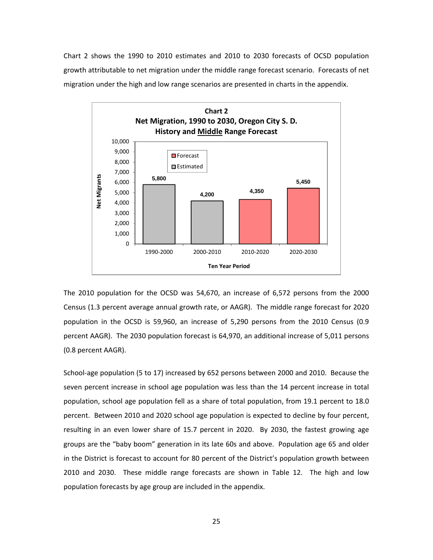Chart 2 shows the 1990 to 2010 estimates and 2010 to 2030 forecasts of OCSD population growth attributable to net migration under the middle range forecast scenario. Forecasts of net migration under the high and low range scenarios are presented in charts in the appendix.



The 2010 population for the OCSD was 54,670, an increase of 6,572 persons from the 2000 Census (1.3 percent average annual growth rate, or AAGR). The middle range forecast for 2020 population in the OCSD is 59,960, an increase of 5,290 persons from the 2010 Census (0.9 percent AAGR). The 2030 population forecast is 64,970, an additional increase of 5,011 persons (0.8 percent AAGR).

School‐age population (5 to 17) increased by 652 persons between 2000 and 2010. Because the seven percent increase in school age population was less than the 14 percent increase in total population, school age population fell as a share of total population, from 19.1 percent to 18.0 percent. Between 2010 and 2020 school age population is expected to decline by four percent, resulting in an even lower share of 15.7 percent in 2020. By 2030, the fastest growing age groups are the "baby boom" generation in its late 60s and above. Population age 65 and older in the District is forecast to account for 80 percent of the District's population growth between 2010 and 2030. These middle range forecasts are shown in Table 12. The high and low population forecasts by age group are included in the appendix.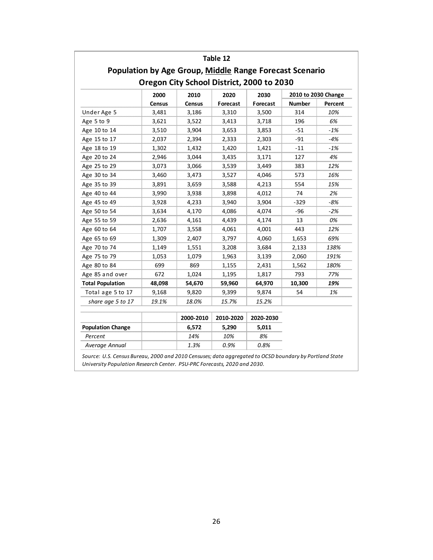|                          |        | <b>Population by Age Group, Middle Range Forecast Scenario</b> | Table 12  |           |                     |         |
|--------------------------|--------|----------------------------------------------------------------|-----------|-----------|---------------------|---------|
|                          |        | Oregon City School District, 2000 to 2030                      |           |           |                     |         |
|                          | 2000   | 2010                                                           | 2020      | 2030      | 2010 to 2030 Change |         |
|                          | Census | Census                                                         | Forecast  | Forecast  | <b>Number</b>       | Percent |
| Under Age 5              | 3,481  | 3,186                                                          | 3,310     | 3,500     | 314                 | 10%     |
| Age 5 to 9               | 3,621  | 3,522                                                          | 3,413     | 3,718     | 196                 | 6%      |
| Age 10 to 14             | 3,510  | 3,904                                                          | 3,653     | 3,853     | $-51$               | -1%     |
| Age 15 to 17             | 2,037  | 2,394                                                          | 2,333     | 2,303     | $-91$               | $-4%$   |
| Age 18 to 19             | 1,302  | 1,432                                                          | 1,420     | 1,421     | $-11$               | $-1%$   |
| Age 20 to 24             | 2,946  | 3,044                                                          | 3,435     | 3,171     | 127                 | 4%      |
| Age 25 to 29             | 3,073  | 3,066                                                          | 3,539     | 3,449     | 383                 | 12%     |
| Age 30 to 34             | 3,460  | 3,473                                                          | 3,527     | 4,046     | 573                 | 16%     |
| Age 35 to 39             | 3,891  | 3,659                                                          | 3,588     | 4,213     | 554                 | 15%     |
| Age 40 to 44             | 3,990  | 3,938                                                          | 3,898     | 4,012     | 74                  | 2%      |
| Age 45 to 49             | 3,928  | 4,233                                                          | 3,940     | 3,904     | $-329$              | -8%     |
| Age 50 to 54             | 3,634  | 4,170                                                          | 4,086     | 4,074     | $-96$               | $-2%$   |
| Age 55 to 59             | 2,636  | 4,161                                                          | 4,439     | 4,174     | 13                  | 0%      |
| Age 60 to 64             | 1,707  | 3,558                                                          | 4,061     | 4,001     | 443                 | 12%     |
| Age 65 to 69             | 1,309  | 2,407                                                          | 3,797     | 4,060     | 1,653               | 69%     |
| Age 70 to 74             | 1,149  | 1,551                                                          | 3,208     | 3,684     | 2,133               | 138%    |
| Age 75 to 79             | 1,053  | 1,079                                                          | 1,963     | 3,139     | 2,060               | 191%    |
| Age 80 to 84             | 699    | 869                                                            | 1,155     | 2,431     | 1,562               | 180%    |
| Age 85 and over          | 672    | 1,024                                                          | 1,195     | 1,817     | 793                 | 77%     |
| <b>Total Population</b>  | 48,098 | 54,670                                                         | 59,960    | 64,970    | 10,300              | 19%     |
| Total age 5 to 17        | 9,168  | 9,820                                                          | 9,399     | 9,874     | 54                  | 1%      |
| share age 5 to 17        | 19.1%  | 18.0%                                                          | 15.7%     | 15.2%     |                     |         |
|                          |        | 2000-2010                                                      | 2010-2020 | 2020-2030 |                     |         |
| <b>Population Change</b> |        | 6,572                                                          | 5,290     | 5,011     |                     |         |
| Percent                  |        | 14%                                                            | 10%       | 8%        |                     |         |
| Average Annual           |        | 1.3%                                                           | 0.9%      | 0.8%      |                     |         |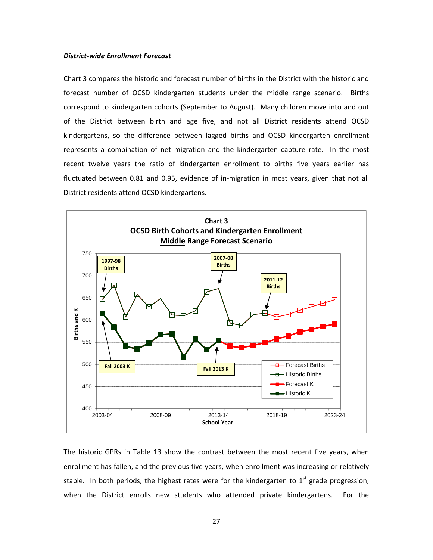#### *District‐wide Enrollment Forecast*

Chart 3 compares the historic and forecast number of births in the District with the historic and forecast number of OCSD kindergarten students under the middle range scenario. Births correspond to kindergarten cohorts (September to August). Many children move into and out of the District between birth and age five, and not all District residents attend OCSD kindergartens, so the difference between lagged births and OCSD kindergarten enrollment represents a combination of net migration and the kindergarten capture rate. In the most recent twelve years the ratio of kindergarten enrollment to births five years earlier has fluctuated between 0.81 and 0.95, evidence of in‐migration in most years, given that not all District residents attend OCSD kindergartens.



The historic GPRs in Table 13 show the contrast between the most recent five years, when enrollment has fallen, and the previous five years, when enrollment was increasing or relatively stable. In both periods, the highest rates were for the kindergarten to  $1<sup>st</sup>$  grade progression, when the District enrolls new students who attended private kindergartens. For the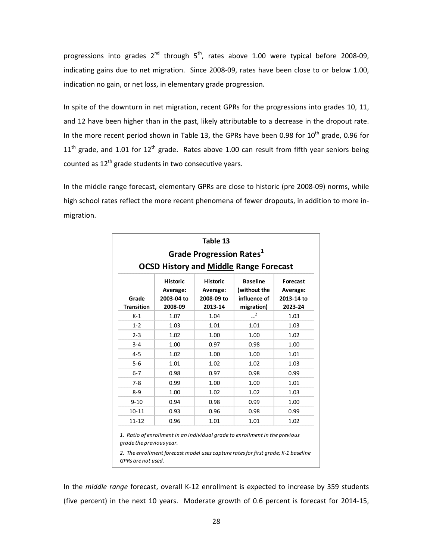progressions into grades  $2^{nd}$  through  $5^{th}$ , rates above 1.00 were typical before 2008-09, indicating gains due to net migration. Since 2008‐09, rates have been close to or below 1.00, indication no gain, or net loss, in elementary grade progression.

In spite of the downturn in net migration, recent GPRs for the progressions into grades 10, 11, and 12 have been higher than in the past, likely attributable to a decrease in the dropout rate. In the more recent period shown in Table 13, the GPRs have been 0.98 for  $10^{th}$  grade, 0.96 for  $11<sup>th</sup>$  grade, and 1.01 for 12<sup>th</sup> grade. Rates above 1.00 can result from fifth year seniors being counted as  $12^{th}$  grade students in two consecutive years.

In the middle range forecast, elementary GPRs are close to historic (pre 2008‐09) norms, while high school rates reflect the more recent phenomena of fewer dropouts, in addition to more in‐ migration.

| <b>Historic</b><br>Average:<br>2003-04 to<br>2008-09<br>1.07<br>1.03<br>1.02 | <b>Historic</b><br>Average:<br>2008-09 to<br>2013-14<br>1.04<br>1.01<br>1.00<br>0.97 | <b>OCSD History and Middle Range Forecast</b><br><b>Baseline</b><br>(without the<br>influence of<br>migration)<br>2<br>1.01<br>1.00<br>0.98 | <b>Forecast</b><br>Average:<br>2013-14 to<br>2023-24<br>1.03<br>1.03<br>1.02<br>1.00                                                                             |  |  |  |  |  |  |  |  |
|------------------------------------------------------------------------------|--------------------------------------------------------------------------------------|---------------------------------------------------------------------------------------------------------------------------------------------|------------------------------------------------------------------------------------------------------------------------------------------------------------------|--|--|--|--|--|--|--|--|
|                                                                              |                                                                                      |                                                                                                                                             |                                                                                                                                                                  |  |  |  |  |  |  |  |  |
|                                                                              |                                                                                      |                                                                                                                                             |                                                                                                                                                                  |  |  |  |  |  |  |  |  |
|                                                                              |                                                                                      |                                                                                                                                             |                                                                                                                                                                  |  |  |  |  |  |  |  |  |
|                                                                              |                                                                                      |                                                                                                                                             |                                                                                                                                                                  |  |  |  |  |  |  |  |  |
|                                                                              |                                                                                      |                                                                                                                                             |                                                                                                                                                                  |  |  |  |  |  |  |  |  |
|                                                                              |                                                                                      |                                                                                                                                             |                                                                                                                                                                  |  |  |  |  |  |  |  |  |
| $3 - 4$<br>1.00<br>1.02<br>4-5<br>1.00<br>1.00<br>1.01                       |                                                                                      |                                                                                                                                             |                                                                                                                                                                  |  |  |  |  |  |  |  |  |
| 1.01                                                                         | 1.02                                                                                 | 1.02                                                                                                                                        | 1.03                                                                                                                                                             |  |  |  |  |  |  |  |  |
| 0.98                                                                         | 0.97                                                                                 | 0.98                                                                                                                                        | 0.99                                                                                                                                                             |  |  |  |  |  |  |  |  |
| 0.99                                                                         | 1.00                                                                                 | 1.00                                                                                                                                        | 1.01                                                                                                                                                             |  |  |  |  |  |  |  |  |
| 1.00                                                                         | 1.02                                                                                 | 1.02                                                                                                                                        | 1.03                                                                                                                                                             |  |  |  |  |  |  |  |  |
| 0.94                                                                         |                                                                                      | 0.99                                                                                                                                        | 1.00                                                                                                                                                             |  |  |  |  |  |  |  |  |
| 0.93                                                                         |                                                                                      | 0.98                                                                                                                                        | 0.99                                                                                                                                                             |  |  |  |  |  |  |  |  |
| 0.96                                                                         |                                                                                      | 1.01                                                                                                                                        | 1.02                                                                                                                                                             |  |  |  |  |  |  |  |  |
| grade the previous year.                                                     |                                                                                      |                                                                                                                                             |                                                                                                                                                                  |  |  |  |  |  |  |  |  |
|                                                                              |                                                                                      | 0.98<br>0.96<br>1.01                                                                                                                        | 1. Ratio of enrollment in an individual grade to enrollment in the previous<br>2. The enrollment forecast model uses capture rates for first grade; K-1 baseline |  |  |  |  |  |  |  |  |

In the *middle range* forecast, overall K‐12 enrollment is expected to increase by 359 students (five percent) in the next 10 years. Moderate growth of 0.6 percent is forecast for 2014‐15,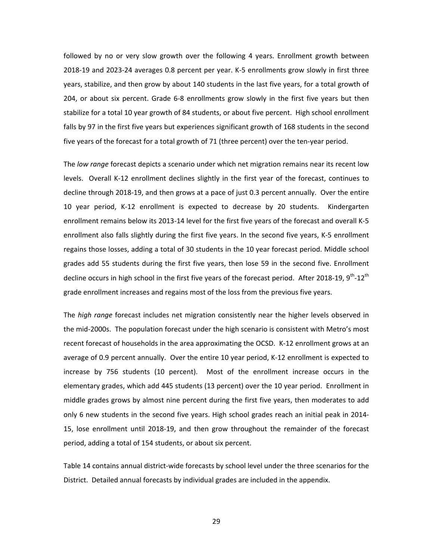followed by no or very slow growth over the following 4 years. Enrollment growth between 2018‐19 and 2023‐24 averages 0.8 percent per year. K‐5 enrollments grow slowly in first three years, stabilize, and then grow by about 140 students in the last five years, for a total growth of 204, or about six percent. Grade 6‐8 enrollments grow slowly in the first five years but then stabilize for a total 10 year growth of 84 students, or about five percent. High school enrollment falls by 97 in the first five years but experiences significant growth of 168 students in the second five years of the forecast for a total growth of 71 (three percent) over the ten-year period.

The *low range* forecast depicts a scenario under which net migration remains near its recent low levels. Overall K-12 enrollment declines slightly in the first year of the forecast, continues to decline through 2018‐19, and then grows at a pace of just 0.3 percent annually. Over the entire 10 year period, K‐12 enrollment is expected to decrease by 20 students. Kindergarten enrollment remains below its 2013‐14 level for the first five years of the forecast and overall K‐5 enrollment also falls slightly during the first five years. In the second five years, K‐5 enrollment regains those losses, adding a total of 30 students in the 10 year forecast period. Middle school grades add 55 students during the first five years, then lose 59 in the second five. Enrollment decline occurs in high school in the first five years of the forecast period. After 2018-19, 9<sup>th</sup>-12<sup>th</sup> grade enrollment increases and regains most of the loss from the previous five years.

The *high range* forecast includes net migration consistently near the higher levels observed in the mid‐2000s. The population forecast under the high scenario is consistent with Metro's most recent forecast of households in the area approximating the OCSD. K‐12 enrollment grows at an average of 0.9 percent annually. Over the entire 10 year period, K-12 enrollment is expected to increase by 756 students (10 percent). Most of the enrollment increase occurs in the elementary grades, which add 445 students (13 percent) over the 10 year period. Enrollment in middle grades grows by almost nine percent during the first five years, then moderates to add only 6 new students in the second five years. High school grades reach an initial peak in 2014‐ 15, lose enrollment until 2018‐19, and then grow throughout the remainder of the forecast period, adding a total of 154 students, or about six percent.

Table 14 contains annual district-wide forecasts by school level under the three scenarios for the District. Detailed annual forecasts by individual grades are included in the appendix.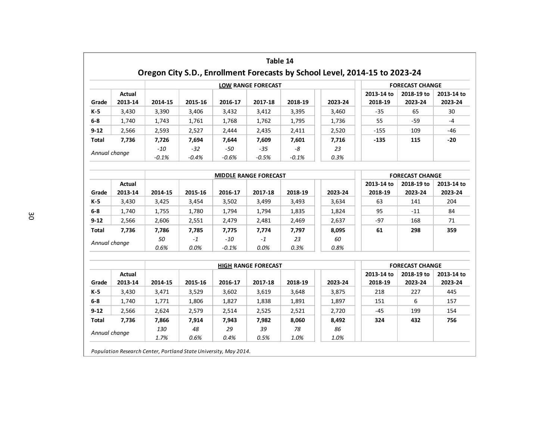|                               |                   |                      |                     |                     | Table 14                     |                     |                     | Oregon City S.D., Enrollment Forecasts by School Level, 2014-15 to 2023-24 |                        |                       |  |  |
|-------------------------------|-------------------|----------------------|---------------------|---------------------|------------------------------|---------------------|---------------------|----------------------------------------------------------------------------|------------------------|-----------------------|--|--|
|                               |                   |                      |                     |                     | <b>LOW RANGE FORECAST</b>    |                     |                     |                                                                            | <b>FORECAST CHANGE</b> |                       |  |  |
| Grade                         | Actual<br>2013-14 | 2014-15              | 2015-16             | 2016-17             | 2017-18                      | 2018-19             | 2023-24             | 2013-14 to<br>2018-19                                                      | 2018-19 to<br>2023-24  | 2013-14 to<br>2023-24 |  |  |
| $K-5$                         | 3,430             | 3,390                | 3,406               | 3,432               | 3,412                        | 3,395               | 3,460               | $-35$                                                                      | 65                     | 30                    |  |  |
| $6 - 8$                       | 1,740             | 1,743                | 1,761               | 1,768               | 1,762                        | 1,795               | 1,736               | 55                                                                         | -59                    | $-4$                  |  |  |
| $9 - 12$                      | 2,566             | 2,593                | 2,527               | 2,444               | 2,435                        | 2,411               | 2,520               | $-155$                                                                     | 109                    | -46                   |  |  |
| Total                         | 7,736             | 7,726                | 7,694               | 7,644               | 7,609                        | 7,601               | 7,716               | $-135$                                                                     | 115                    | -20                   |  |  |
| Annual change                 |                   | $-10$<br>$-0.1%$     | $-32$<br>$-0.4%$    | $-50$<br>$-0.6%$    | $-35$<br>$-0.5%$             | $-8$<br>$-0.1%$     | 23<br>0.3%          |                                                                            |                        |                       |  |  |
|                               |                   |                      |                     |                     | <b>MIDDLE RANGE FORECAST</b> |                     |                     |                                                                            | <b>FORECAST CHANGE</b> |                       |  |  |
| Grade                         | Actual<br>2013-14 | 2014-15              | 2015-16             | 2016-17             | 2017-18                      | 2018-19             | 2023-24             | 2013-14 to<br>2018-19                                                      | 2018-19 to<br>2023-24  | 2013-14 to<br>2023-24 |  |  |
| K-5                           | 3,430             | 3,425                | 3,454               | 3,502               | 3,499                        | 3,493               | 3,634               | 63                                                                         | 141                    | 204                   |  |  |
| $6-8$                         | 1,740             | 1,755                | 1,780               | 1,794               | 1,794                        | 1,835               | 1,824               | 95                                                                         | $-11$                  | 84                    |  |  |
| $9 - 12$                      | 2,566             | 2,606                | 2,551               | 2,479               | 2,481                        | 2,469               | 2,637               | -97                                                                        | 168                    | 71                    |  |  |
| <b>Total</b>                  | 7,736             | 7,786                | 7,785               | 7,775               | 7,774                        | 7,797               | 8,095               | 61                                                                         | 298                    | 359                   |  |  |
| Annual change                 |                   | 50<br>0.6%           | $-1$<br>0.0%        | $-10$<br>$-0.1%$    | $-1$<br>0.0%                 | 23<br>0.3%          | 60<br>0.8%          |                                                                            |                        |                       |  |  |
|                               |                   |                      |                     |                     | <b>HIGH RANGE FORECAST</b>   |                     |                     |                                                                            | <b>FORECAST CHANGE</b> |                       |  |  |
| Grade                         | Actual<br>2013-14 | 2014-15              | 2015-16             | 2016-17             | 2017-18                      | 2018-19             | 2023-24             | 2013-14 to<br>2018-19                                                      | 2018-19 to<br>2023-24  | 2013-14 to<br>2023-24 |  |  |
| K-5                           | 3,430             | 3,471                | 3,529               | 3,602               | 3,619                        | 3,648               | 3,875               | 218                                                                        | 227                    | 445                   |  |  |
| $6-8$                         | 1,740             | 1,771                | 1,806               | 1,827               | 1,838                        | 1,891               | 1,897               | 151                                                                        | 6                      | 157                   |  |  |
| $9 - 12$                      | 2,566             | 2,624                | 2,579               | 2,514               | 2,525                        | 2,521               | 2,720               | $-45$                                                                      | 199                    | 154                   |  |  |
| <b>Total</b><br>Annual change | 7,736             | 7,866<br>130<br>1.7% | 7,914<br>48<br>0.6% | 7,943<br>29<br>0.4% | 7,982<br>39<br>0.5%          | 8,060<br>78<br>1.0% | 8,492<br>86<br>1.0% | 324                                                                        | 432                    | 756                   |  |  |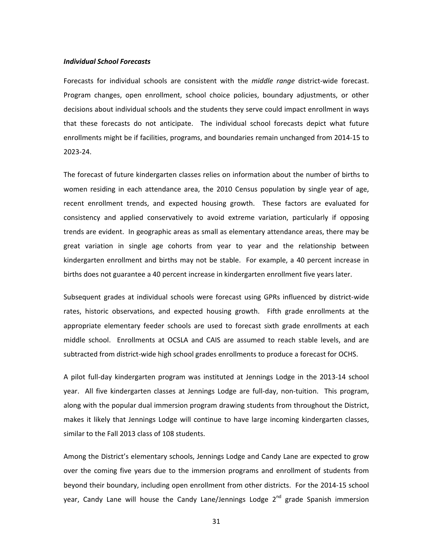#### *Individual School Forecasts*

Forecasts for individual schools are consistent with the *middle range* district-wide forecast. Program changes, open enrollment, school choice policies, boundary adjustments, or other decisions about individual schools and the students they serve could impact enrollment in ways that these forecasts do not anticipate. The individual school forecasts depict what future enrollments might be if facilities, programs, and boundaries remain unchanged from 2014‐15 to 2023‐24.

The forecast of future kindergarten classes relies on information about the number of births to women residing in each attendance area, the 2010 Census population by single year of age, recent enrollment trends, and expected housing growth. These factors are evaluated for consistency and applied conservatively to avoid extreme variation, particularly if opposing trends are evident. In geographic areas as small as elementary attendance areas, there may be great variation in single age cohorts from year to year and the relationship between kindergarten enrollment and births may not be stable. For example, a 40 percent increase in births does not guarantee a 40 percent increase in kindergarten enrollment five years later.

Subsequent grades at individual schools were forecast using GPRs influenced by district‐wide rates, historic observations, and expected housing growth. Fifth grade enrollments at the appropriate elementary feeder schools are used to forecast sixth grade enrollments at each middle school. Enrollments at OCSLA and CAIS are assumed to reach stable levels, and are subtracted from district‐wide high school grades enrollments to produce a forecast for OCHS.

A pilot full‐day kindergarten program was instituted at Jennings Lodge in the 2013‐14 school year. All five kindergarten classes at Jennings Lodge are full-day, non-tuition. This program, along with the popular dual immersion program drawing students from throughout the District, makes it likely that Jennings Lodge will continue to have large incoming kindergarten classes, similar to the Fall 2013 class of 108 students.

Among the District's elementary schools, Jennings Lodge and Candy Lane are expected to grow over the coming five years due to the immersion programs and enrollment of students from beyond their boundary, including open enrollment from other districts. For the 2014‐15 school year, Candy Lane will house the Candy Lane/Jennings Lodge 2<sup>nd</sup> grade Spanish immersion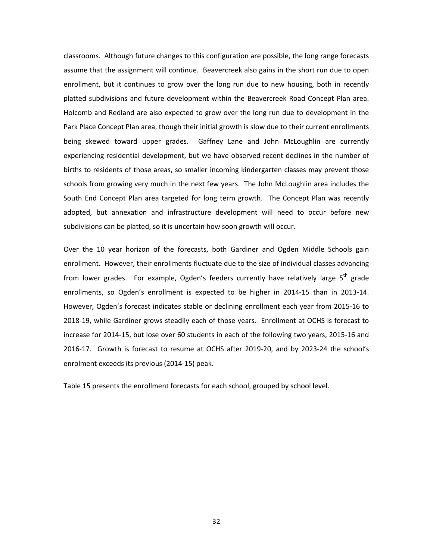classrooms. Although future changes to this configuration are possible, the long range forecasts assume that the assignment will continue. Beavercreek also gains in the short run due to open enrollment, but it continues to grow over the long run due to new housing, both in recently platted subdivisions and future development within the Beavercreek Road Concept Plan area. Holcomb and Redland are also expected to grow over the long run due to development in the Park Place Concept Plan area, though their initial growth is slow due to their current enrollments being skewed toward upper grades. Gaffney Lane and John McLoughlin are currently experiencing residential development, but we have observed recent declines in the number of births to residents of those areas, so smaller incoming kindergarten classes may prevent those schools from growing very much in the next few years. The John McLoughlin area includes the South End Concept Plan area targeted for long term growth. The Concept Plan was recently adopted, but annexation and infrastructure development will need to occur before new subdivisions can be platted, so it is uncertain how soon growth will occur.

Over the 10 year horizon of the forecasts, both Gardiner and Ogden Middle Schools gain enrollment. However, their enrollments fluctuate due to the size of individual classes advancing from lower grades. For example, Ogden's feeders currently have relatively large 5<sup>th</sup> grade enrollments, so Ogden's enrollment is expected to be higher in 2014‐15 than in 2013‐14. However, Ogden's forecast indicates stable or declining enrollment each year from 2015‐16 to 2018‐19, while Gardiner grows steadily each of those years. Enrollment at OCHS is forecast to increase for 2014‐15, but lose over 60 students in each of the following two years, 2015‐16 and 2016-17. Growth is forecast to resume at OCHS after 2019-20, and by 2023-24 the school's enrolment exceeds its previous (2014‐15) peak.

Table 15 presents the enrollment forecasts for each school, grouped by school level.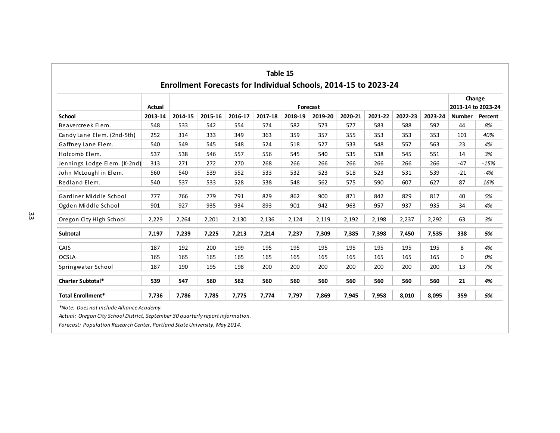|                              | Actual  |         |         |         |         |         | Forecast |         |         |         |         | 2013-14 to 2023-24 | Change  |
|------------------------------|---------|---------|---------|---------|---------|---------|----------|---------|---------|---------|---------|--------------------|---------|
| <b>School</b>                | 2013-14 | 2014-15 | 2015-16 | 2016-17 | 2017-18 | 2018-19 | 2019-20  | 2020-21 | 2021-22 | 2022-23 | 2023-24 | <b>Number</b>      | Percent |
| Beavercreek Elem.            | 548     | 533     | 542     | 554     | 574     | 582     | 573      | 577     | 583     | 588     | 592     | 44                 | 8%      |
| Candy Lane Elem. (2nd-5th)   | 252     | 314     | 333     | 349     | 363     | 359     | 357      | 355     | 353     | 353     | 353     | 101                | 40%     |
| Gaffney Lane Elem.           | 540     | 549     | 545     | 548     | 524     | 518     | 527      | 533     | 548     | 557     | 563     | 23                 | 4%      |
| Holcomb Elem.                | 537     | 538     | 546     | 557     | 556     | 545     | 540      | 535     | 538     | 545     | 551     | 14                 | 3%      |
| Jennings Lodge Elem. (K-2nd) | 313     | 271     | 272     | 270     | 268     | 266     | 266      | 266     | 266     | 266     | 266     | $-47$              | $-15%$  |
| John McLoughlin Elem.        | 560     | 540     | 539     | 552     | 533     | 532     | 523      | 518     | 523     | 531     | 539     | $-21$              | $-4%$   |
| Redland Elem.                | 540     | 537     | 533     | 528     | 538     | 548     | 562      | 575     | 590     | 607     | 627     | 87                 | 16%     |
| Gardiner Middle School       | 777     | 766     | 779     | 791     | 829     | 862     | 900      | 871     | 842     | 829     | 817     | 40                 | 5%      |
| Ogden Middle School          | 901     | 927     | 935     | 934     | 893     | 901     | 942      | 963     | 957     | 937     | 935     | 34                 | 4%      |
| Oregon City High School      | 2,229   | 2,264   | 2,201   | 2,130   | 2,136   | 2,124   | 2,119    | 2,192   | 2,198   | 2,237   | 2,292   | 63                 | 3%      |
| Subtotal                     | 7,197   | 7,239   | 7,225   | 7,213   | 7,214   | 7,237   | 7,309    | 7,385   | 7,398   | 7,450   | 7,535   | 338                | 5%      |
| CAIS                         | 187     | 192     | 200     | 199     | 195     | 195     | 195      | 195     | 195     | 195     | 195     | 8                  | 4%      |
| <b>OCSLA</b>                 | 165     | 165     | 165     | 165     | 165     | 165     | 165      | 165     | 165     | 165     | 165     | $\Omega$           | 0%      |
| Springwater School           | 187     | 190     | 195     | 198     | 200     | 200     | 200      | 200     | 200     | 200     | 200     | 13                 | 7%      |
| <b>Charter Subtotal*</b>     | 539     | 547     | 560     | 562     | 560     | 560     | 560      | 560     | 560     | 560     | 560     | 21                 | 4%      |
| <b>Total Enrollment*</b>     | 7,736   | 7,786   | 7,785   | 7,775   | 7,774   | 7,797   | 7,869    | 7,945   | 7,958   | 8,010   | 8,095   | 359                | 5%      |

*Actual: Oregon City School District, September 30 quarterly report information.*

*Forecast: Population Research Center, Portland StateUniversity, May 2014.*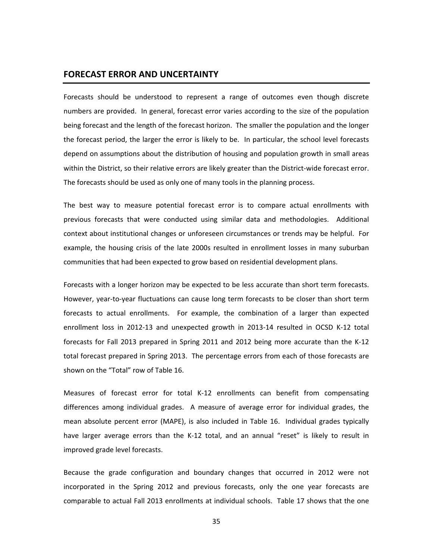## **FORECAST ERROR AND UNCERTAINTY**

Forecasts should be understood to represent a range of outcomes even though discrete numbers are provided. In general, forecast error varies according to the size of the population being forecast and the length of the forecast horizon. The smaller the population and the longer the forecast period, the larger the error is likely to be. In particular, the school level forecasts depend on assumptions about the distribution of housing and population growth in small areas within the District, so their relative errors are likely greater than the District-wide forecast error. The forecasts should be used as only one of many tools in the planning process.

The best way to measure potential forecast error is to compare actual enrollments with previous forecasts that were conducted using similar data and methodologies. Additional context about institutional changes or unforeseen circumstances or trends may be helpful. For example, the housing crisis of the late 2000s resulted in enrollment losses in many suburban communities that had been expected to grow based on residential development plans.

Forecasts with a longer horizon may be expected to be less accurate than short term forecasts. However, year‐to‐year fluctuations can cause long term forecasts to be closer than short term forecasts to actual enrollments. For example, the combination of a larger than expected enrollment loss in 2012‐13 and unexpected growth in 2013‐14 resulted in OCSD K‐12 total forecasts for Fall 2013 prepared in Spring 2011 and 2012 being more accurate than the K‐12 total forecast prepared in Spring 2013. The percentage errors from each of those forecasts are shown on the "Total" row of Table 16.

Measures of forecast error for total K‐12 enrollments can benefit from compensating differences among individual grades. A measure of average error for individual grades, the mean absolute percent error (MAPE), is also included in Table 16. Individual grades typically have larger average errors than the K-12 total, and an annual "reset" is likely to result in improved grade level forecasts.

Because the grade configuration and boundary changes that occurred in 2012 were not incorporated in the Spring 2012 and previous forecasts, only the one year forecasts are comparable to actual Fall 2013 enrollments at individual schools. Table 17 shows that the one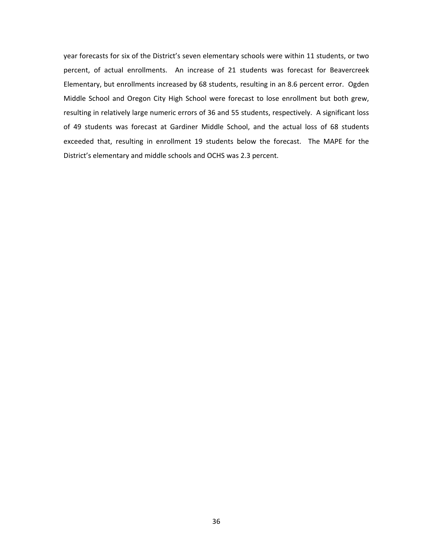year forecasts for six of the District's seven elementary schools were within 11 students, or two percent, of actual enrollments. An increase of 21 students was forecast for Beavercreek Elementary, but enrollments increased by 68 students, resulting in an 8.6 percent error. Ogden Middle School and Oregon City High School were forecast to lose enrollment but both grew, resulting in relatively large numeric errors of 36 and 55 students, respectively. A significant loss of 49 students was forecast at Gardiner Middle School, and the actual loss of 68 students exceeded that, resulting in enrollment 19 students below the forecast. The MAPE for the District's elementary and middle schools and OCHS was 2.3 percent.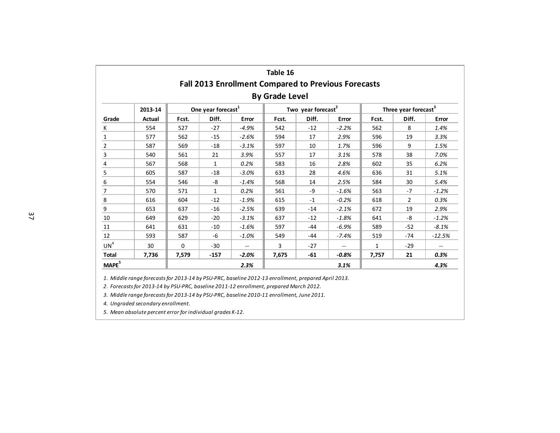|                   |               |          |                                |                                                            | Table 16              |                                |               |                                  |                |          |  |
|-------------------|---------------|----------|--------------------------------|------------------------------------------------------------|-----------------------|--------------------------------|---------------|----------------------------------|----------------|----------|--|
|                   |               |          |                                | <b>Fall 2013 Enrollment Compared to Previous Forecasts</b> |                       |                                |               |                                  |                |          |  |
|                   |               |          |                                |                                                            | <b>By Grade Level</b> |                                |               |                                  |                |          |  |
|                   | 2013-14       |          | One year forecast <sup>1</sup> |                                                            |                       | Two year forecast <sup>2</sup> |               | Three year forecast <sup>3</sup> |                |          |  |
| Grade             | <b>Actual</b> | Fcst.    | Diff.                          | Error                                                      | Fcst.                 | Diff.                          | Error         | Fcst.                            | Diff.          | Error    |  |
| К                 | 554           | 527      | $-27$                          | $-4.9%$                                                    | 542                   | $-12$                          | $-2.2%$       | 562                              | 8              | 1.4%     |  |
| $\mathbf{1}$      | 577           | 562      | $-15$                          | $-2.6%$                                                    | 594                   | 17                             | 2.9%          | 596                              | 19             | 3.3%     |  |
| $\overline{2}$    | 587           | 569      | $-18$                          | $-3.1%$                                                    | 597                   | 10                             | 1.7%          | 596                              | 9              | 1.5%     |  |
| 3                 | 540           | 561      | 21                             | 3.9%                                                       | 557                   | 17                             | 3.1%          | 578                              | 38             | 7.0%     |  |
| 4                 | 567           | 568      | 1                              | 0.2%                                                       | 583                   | 16                             | 2.8%          | 602                              | 35             | 6.2%     |  |
| 5                 | 605           | 587      | $-18$                          | $-3.0%$                                                    | 633                   | 28                             | 4.6%          | 636                              | 31             | 5.1%     |  |
| 6                 | 554           | 546      | -8                             | $-1.4%$                                                    | 568                   | 14                             | 2.5%          | 584                              | 30             | 5.4%     |  |
| 7                 | 570           | 571      | $\mathbf{1}$                   | 0.2%                                                       | 561                   | -9                             | $-1.6%$       | 563                              | $-7$           | $-1.2%$  |  |
| 8                 | 616           | 604      | $-12$                          | $-1.9%$                                                    | 615                   | $-1$                           | $-0.2%$       | 618                              | $\overline{2}$ | 0.3%     |  |
| 9                 | 653           | 637      | $-16$                          | $-2.5%$                                                    | 639                   | $-14$                          | $-2.1%$       | 672                              | 19             | 2.9%     |  |
| 10                | 649           | 629      | $-20$                          | $-3.1%$                                                    | 637                   | $-12$                          | $-1.8%$       | 641                              | -8             | $-1.2%$  |  |
| 11                | 641           | 631      | $-10$                          | $-1.6%$                                                    | 597                   | $-44$                          | $-6.9%$       | 589                              | $-52$          | $-8.1%$  |  |
| 12                | 593           | 587      | -6                             | $-1.0%$                                                    | 549                   | $-44$                          | $-7.4%$       | 519                              | $-74$          | $-12.5%$ |  |
| UN <sup>4</sup>   | 30            | $\Omega$ | $-30$                          | $- -$                                                      | 3                     | $-27$                          | $\frac{1}{2}$ | $\mathbf{1}$                     | $-29$          | $-$      |  |
| <b>Total</b>      | 7,736         | 7,579    | $-157$                         | $-2.0%$                                                    | 7,675                 | $-61$                          | $-0.8%$       | 7,757                            | 21             | 0.3%     |  |
| MAPE <sup>5</sup> |               |          |                                | 2.3%                                                       |                       |                                | 3.1%          |                                  |                | 4.3%     |  |

1. Middle range forecasts for 2013-14 by PSU-PRC, baseline 2012-13 enrollment, prepared April 2013.

*2. Forecastsfor 2013‐14 by PSU‐PRC, baseline 2011‐12 enrollment, prepared March 2012.*

*3. Middle range forecastsfor 2013‐14 by PSU‐PRC, baseline 2010‐11 enrollment, June 2011.*

*4. Ungraded secondary enrollment.*

*5. Mean absolute percent error for individual grades K‐12.*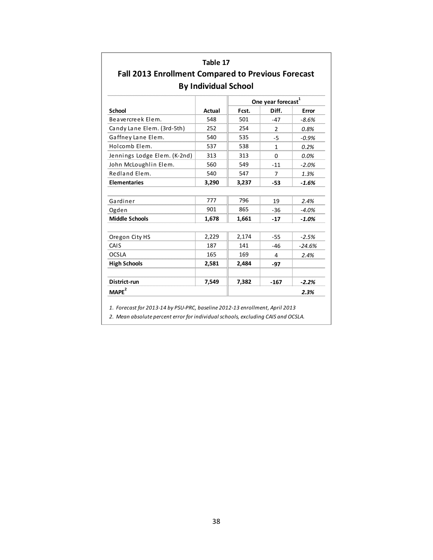| <b>Fall 2013 Enrollment Compared to Previous Forecast</b> |                             |       |                                |          |
|-----------------------------------------------------------|-----------------------------|-------|--------------------------------|----------|
|                                                           | <b>By Individual School</b> |       | One year forecast <sup>1</sup> |          |
| <b>School</b>                                             | <b>Actual</b>               | Fcst. | Diff.                          | Error    |
| Beavercreek Elem.                                         | 548                         | 501   | $-47$                          | $-8.6%$  |
| Candy Lane Elem. (3rd-5th)                                | 252                         | 254   | $\overline{2}$                 | 0.8%     |
| Gaffney Lane Elem.                                        | 540                         | 535   | $-5$                           | $-0.9%$  |
| Holcomb Elem.                                             | 537                         | 538   | 1                              | 0.2%     |
| Jennings Lodge Elem. (K-2nd)                              | 313                         | 313   | $\Omega$                       | 0.0%     |
| John McLoughlin Elem.                                     | 560                         | 549   | $-11$                          | $-2.0%$  |
| Redland Elem.                                             | 540                         | 547   | 7                              | 1.3%     |
| <b>Elementaries</b>                                       | 3,290                       | 3,237 | $-53$                          | $-1.6%$  |
|                                                           |                             |       |                                |          |
| Gardiner                                                  | 777                         | 796   | 19                             | 2.4%     |
| Ogden                                                     | 901                         | 865   | $-36$                          | $-4.0%$  |
| <b>Middle Schools</b>                                     | 1,678                       | 1,661 | $-17$                          | $-1.0%$  |
| Oregon City HS                                            | 2,229                       | 2,174 | $-55$                          | $-2.5%$  |
| CAIS                                                      | 187                         | 141   | $-46$                          | $-24.6%$ |
| <b>OCSLA</b>                                              | 165                         | 169   | 4                              | 2.4%     |
| <b>High Schools</b>                                       | 2,581                       | 2,484 | -97                            |          |
| District-run                                              | 7,549                       | 7,382 | $-167$                         | $-2.2%$  |
| MAPE <sup>2</sup>                                         |                             |       |                                | 2.3%     |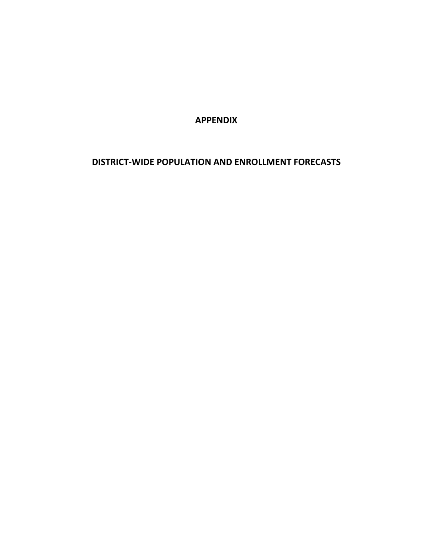**APPENDIX**

# **DISTRICT‐WIDE POPULATION AND ENROLLMENT FORECASTS**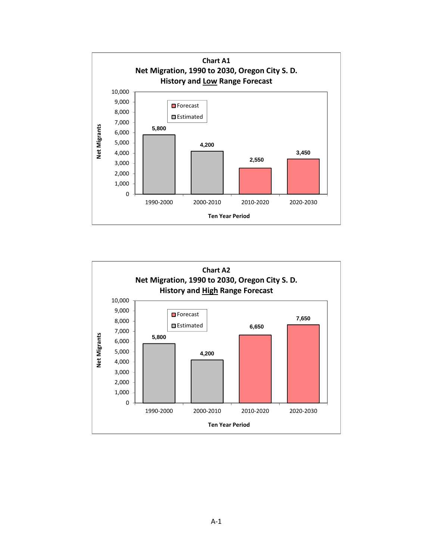

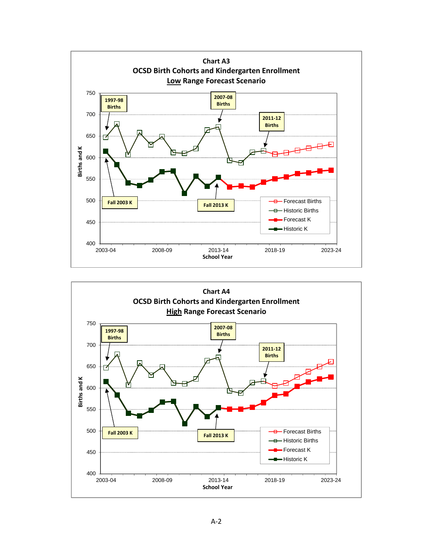

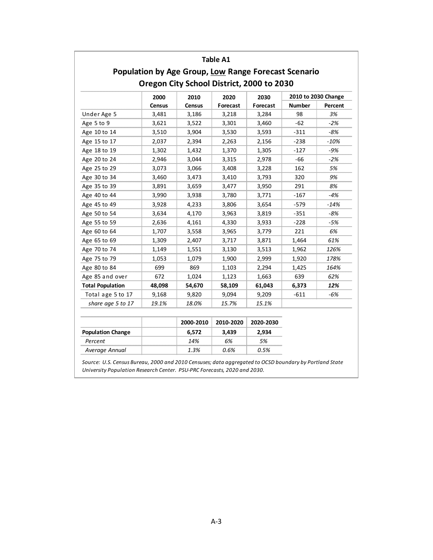|                          |        | Population by Age Group, Low Range Forecast Scenario | <b>Table A1</b> |           |        |                     |
|--------------------------|--------|------------------------------------------------------|-----------------|-----------|--------|---------------------|
|                          |        | Oregon City School District, 2000 to 2030            |                 |           |        |                     |
|                          | 2000   | 2010                                                 | 2020            | 2030      |        | 2010 to 2030 Change |
|                          | Census | Census                                               | Forecast        | Forecast  | Number | Percent             |
| Under Age 5              | 3,481  | 3,186                                                | 3,218           | 3,284     | 98     | 3%                  |
| Age 5 to 9               | 3,621  | 3,522                                                | 3,301           | 3,460     | $-62$  | $-2%$               |
| Age 10 to 14             | 3,510  | 3,904                                                | 3,530           | 3,593     | $-311$ | $-8%$               |
| Age 15 to 17             | 2,037  | 2,394                                                | 2,263           | 2,156     | $-238$ | $-10%$              |
| Age 18 to 19             | 1,302  | 1,432                                                | 1,370           | 1,305     | $-127$ | -9%                 |
| Age 20 to 24             | 2,946  | 3,044                                                | 3,315           | 2,978     | $-66$  | $-2%$               |
| Age 25 to 29             | 3,073  | 3,066                                                | 3,408           | 3,228     | 162    | 5%                  |
| Age 30 to 34             | 3,460  | 3,473                                                | 3,410           | 3,793     | 320    | 9%                  |
| Age 35 to 39             | 3,891  | 3,659                                                | 3,477           | 3,950     | 291    | 8%                  |
| Age 40 to 44             | 3,990  | 3,938                                                | 3,780           | 3,771     | $-167$ | $-4%$               |
| Age 45 to 49             | 3,928  | 4,233                                                | 3,806           | 3,654     | $-579$ | -14%                |
| Age 50 to 54             | 3,634  | 4,170                                                | 3,963           | 3,819     | $-351$ | -8%                 |
| Age 55 to 59             | 2,636  | 4,161                                                | 4,330           | 3,933     | $-228$ | $-5%$               |
| Age 60 to 64             | 1,707  | 3,558                                                | 3,965           | 3,779     | 221    | 6%                  |
| Age 65 to 69             | 1,309  | 2,407                                                | 3,717           | 3,871     | 1,464  | 61%                 |
| Age 70 to 74             | 1,149  | 1,551                                                | 3,130           | 3,513     | 1,962  | 126%                |
| Age 75 to 79             | 1,053  | 1,079                                                | 1,900           | 2,999     | 1,920  | 178%                |
| Age 80 to 84             | 699    | 869                                                  | 1,103           | 2,294     | 1,425  | 164%                |
| Age 85 and over          | 672    | 1,024                                                | 1,123           | 1,663     | 639    | 62%                 |
| <b>Total Population</b>  | 48,098 | 54,670                                               | 58,109          | 61,043    | 6,373  | 12%                 |
| Total age 5 to 17        | 9,168  | 9,820                                                | 9,094           | 9,209     | $-611$ | $-6%$               |
| share age 5 to 17        | 19.1%  | 18.0%                                                | 15.7%           | 15.1%     |        |                     |
|                          |        | 2000-2010                                            | 2010-2020       | 2020-2030 |        |                     |
| <b>Population Change</b> |        | 6,572                                                | 3,439           | 2,934     |        |                     |
| Percent                  |        | 14%                                                  | 6%              | 5%        |        |                     |

*Source: U.S. Census Bureau, 2000 and 2010 Censuses; data aggregated to OCSD boundary by Portland State University Population Research Center. PSU‐PRC Forecasts, 2020 and 2030.*

 *Average Annual 1.3% 0.6% 0.5%*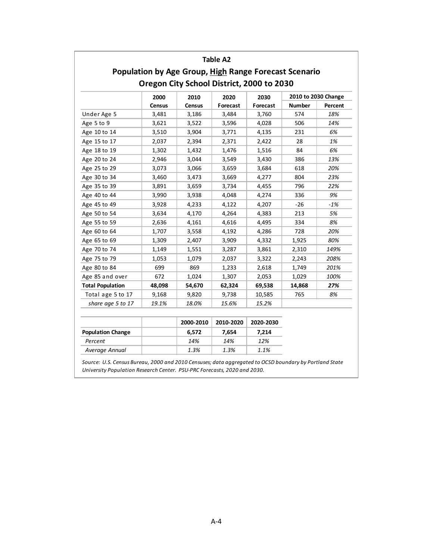|                          |               | Population by Age Group, High Range Forecast Scenario | Table A2  |           |        |                     |
|--------------------------|---------------|-------------------------------------------------------|-----------|-----------|--------|---------------------|
|                          |               | Oregon City School District, 2000 to 2030             |           |           |        |                     |
|                          | 2000          | 2010                                                  | 2020      | 2030      |        | 2010 to 2030 Change |
|                          | <b>Census</b> | Census                                                | Forecast  | Forecast  | Number | Percent             |
| Under Age 5              | 3,481         | 3,186                                                 | 3,484     | 3,760     | 574    | 18%                 |
| Age 5 to 9               | 3,621         | 3,522                                                 | 3,596     | 4,028     | 506    | 14%                 |
| Age 10 to 14             | 3,510         | 3,904                                                 | 3,771     | 4,135     | 231    | 6%                  |
| Age 15 to 17             | 2,037         | 2,394                                                 | 2,371     | 2,422     | 28     | 1%                  |
| Age 18 to 19             | 1,302         | 1,432                                                 | 1,476     | 1,516     | 84     | 6%                  |
| Age 20 to 24             | 2,946         | 3,044                                                 | 3,549     | 3,430     | 386    | 13%                 |
| Age 25 to 29             | 3,073         | 3,066                                                 | 3,659     | 3,684     | 618    | 20%                 |
| Age 30 to 34             | 3,460         | 3,473                                                 | 3,669     | 4,277     | 804    | 23%                 |
| Age 35 to 39             | 3,891         | 3,659                                                 | 3,734     | 4,455     | 796    | 22%                 |
| Age 40 to 44             | 3,990         | 3,938                                                 | 4,048     | 4,274     | 336    | 9%                  |
| Age 45 to 49             | 3,928         | 4,233                                                 | 4,122     | 4,207     | $-26$  | $-1%$               |
| Age 50 to 54             | 3,634         | 4,170                                                 | 4,264     | 4,383     | 213    | 5%                  |
| Age 55 to 59             | 2,636         | 4,161                                                 | 4,616     | 4,495     | 334    | 8%                  |
| Age 60 to 64             | 1,707         | 3,558                                                 | 4,192     | 4,286     | 728    | 20%                 |
| Age 65 to 69             | 1,309         | 2,407                                                 | 3,909     | 4,332     | 1,925  | 80%                 |
| Age 70 to 74             | 1,149         | 1,551                                                 | 3,287     | 3,861     | 2,310  | 149%                |
| Age 75 to 79             | 1,053         | 1,079                                                 | 2,037     | 3,322     | 2,243  | 208%                |
| Age 80 to 84             | 699           | 869                                                   | 1,233     | 2,618     | 1,749  | 201%                |
| Age 85 and over          | 672           | 1,024                                                 | 1,307     | 2,053     | 1,029  | 100%                |
| <b>Total Population</b>  | 48,098        | 54,670                                                | 62,324    | 69,538    | 14,868 | 27%                 |
| Total age 5 to 17        | 9,168         | 9,820                                                 | 9,738     | 10,585    | 765    | 8%                  |
| share age 5 to 17        | 19.1%         | 18.0%                                                 | 15.6%     | 15.2%     |        |                     |
|                          |               | 2000-2010                                             | 2010-2020 | 2020-2030 |        |                     |
| <b>Population Change</b> |               | 6,572                                                 | 7,654     | 7,214     |        |                     |
| Percent                  |               | 14%                                                   | 14%       | 12%       |        |                     |

*Source: U.S. Census Bureau, 2000 and 2010 Censuses; data aggregated to OCSD boundary by Portland State University Population Research Center. PSU‐PRC Forecasts, 2020 and 2030.*

 *Average Annual 1.3% 1.3% 1.1%*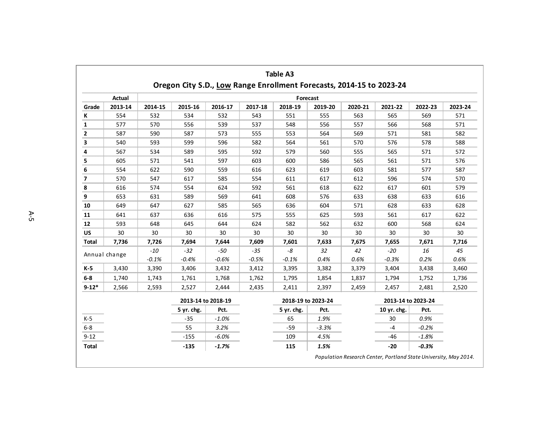|                         |               |         |                                                                      |                    |         | <b>Table A3</b> |                    |         |                    |         |         |
|-------------------------|---------------|---------|----------------------------------------------------------------------|--------------------|---------|-----------------|--------------------|---------|--------------------|---------|---------|
|                         |               |         | Oregon City S.D., Low Range Enrollment Forecasts, 2014-15 to 2023-24 |                    |         |                 |                    |         |                    |         |         |
|                         | Actual        |         |                                                                      |                    |         |                 | Forecast           |         |                    |         |         |
| Grade                   | 2013-14       | 2014-15 | 2015-16                                                              | 2016-17            | 2017-18 | 2018-19         | 2019-20            | 2020-21 | 2021-22            | 2022-23 | 2023-24 |
| К                       | 554           | 532     | 534                                                                  | 532                | 543     | 551             | 555                | 563     | 565                | 569     | 571     |
| 1                       | 577           | 570     | 556                                                                  | 539                | 537     | 548             | 556                | 557     | 566                | 568     | 571     |
| $\overline{\mathbf{2}}$ | 587           | 590     | 587                                                                  | 573                | 555     | 553             | 564                | 569     | 571                | 581     | 582     |
| 3                       | 540           | 593     | 599                                                                  | 596                | 582     | 564             | 561                | 570     | 576                | 578     | 588     |
| 4                       | 567           | 534     | 589                                                                  | 595                | 592     | 579             | 560                | 555     | 565                | 571     | 572     |
| 5                       | 605           | 571     | 541                                                                  | 597                | 603     | 600             | 586                | 565     | 561                | 571     | 576     |
| 6                       | 554           | 622     | 590                                                                  | 559                | 616     | 623             | 619                | 603     | 581                | 577     | 587     |
| 7                       | 570           | 547     | 617                                                                  | 585                | 554     | 611             | 617                | 612     | 596                | 574     | 570     |
| 8                       | 616           | 574     | 554                                                                  | 624                | 592     | 561             | 618                | 622     | 617                | 601     | 579     |
| 9                       | 653           | 631     | 589                                                                  | 569                | 641     | 608             | 576                | 633     | 638                | 633     | 616     |
| 10                      | 649           | 647     | 627                                                                  | 585                | 565     | 636             | 604                | 571     | 628                | 633     | 628     |
| 11                      | 641           | 637     | 636                                                                  | 616                | 575     | 555             | 625                | 593     | 561                | 617     | 622     |
| 12                      | 593           | 648     | 645                                                                  | 644                | 624     | 582             | 562                | 632     | 600                | 568     | 624     |
| <b>US</b>               | 30            | 30      | 30                                                                   | 30                 | 30      | 30              | 30                 | 30      | 30                 | 30      | 30      |
| Total                   | 7,736         | 7,726   | 7,694                                                                | 7,644              | 7,609   | 7,601           | 7,633              | 7,675   | 7,655              | 7,671   | 7,716   |
|                         |               | $-10$   | $-32$                                                                | $-50$              | $-35$   | -8              | 32                 | 42      | $-20$              | 16      | 45      |
|                         | Annual change | $-0.1%$ | $-0.4%$                                                              | $-0.6%$            | $-0.5%$ | $-0.1%$         | 0.4%               | 0.6%    | $-0.3%$            | 0.2%    | 0.6%    |
| $K-5$                   | 3,430         | 3,390   | 3,406                                                                | 3,432              | 3,412   | 3,395           | 3,382              | 3,379   | 3,404              | 3,438   | 3,460   |
| $6-8$                   | 1,740         | 1,743   | 1,761                                                                | 1,768              | 1,762   | 1,795           | 1,854              | 1,837   | 1,794              | 1,752   | 1,736   |
| $9 - 12*$               | 2,566         | 2,593   | 2,527                                                                | 2,444              | 2,435   | 2,411           | 2,397              | 2,459   | 2,457              | 2,481   | 2,520   |
|                         |               |         |                                                                      | 2013-14 to 2018-19 |         |                 | 2018-19 to 2023-24 |         | 2013-14 to 2023-24 |         |         |
|                         |               |         | 5 yr. chg.                                                           | Pct.               |         | 5 yr. chg.      | Pct.               |         | 10 yr. chg.        | Pct.    |         |
| $K-5$                   |               |         | $-35$                                                                | $-1.0%$            |         | 65              | 1.9%               |         | 30                 | 0.9%    |         |
| $6 - 8$                 |               |         | 55                                                                   | 3.2%               |         | $-59$           | $-3.3%$            |         | $-4$               | $-0.2%$ |         |
| $9 - 12$                |               |         | $-155$                                                               | $-6.0%$            |         | 109             | 4.5%               |         | -46                | $-1.8%$ |         |
| <b>Total</b>            |               |         | $-135$                                                               | $-1.7%$            |         | 115             | 1.5%               |         | $-20$              | $-0.3%$ |         |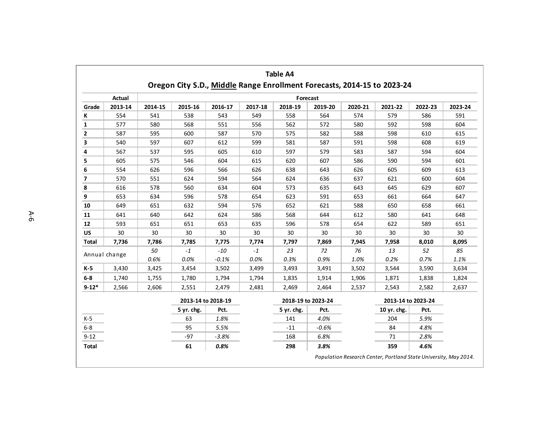|                |         |          |            |                    |         | <b>Table A4</b>    |         |         | Oregon City S.D., Middle Range Enrollment Forecasts, 2014-15 to 2023-24 |         |         |  |
|----------------|---------|----------|------------|--------------------|---------|--------------------|---------|---------|-------------------------------------------------------------------------|---------|---------|--|
|                | Actual  | Forecast |            |                    |         |                    |         |         |                                                                         |         |         |  |
| Grade          | 2013-14 | 2014-15  | 2015-16    | 2016-17            | 2017-18 | 2018-19            | 2019-20 | 2020-21 | 2021-22                                                                 | 2022-23 | 2023-24 |  |
| Κ              | 554     | 541      | 538        | 543                | 549     | 558                | 564     | 574     | 579                                                                     | 586     | 591     |  |
| 1              | 577     | 580      | 568        | 551                | 556     | 562                | 572     | 580     | 592                                                                     | 598     | 604     |  |
| 2              | 587     | 595      | 600        | 587                | 570     | 575                | 582     | 588     | 598                                                                     | 610     | 615     |  |
| 3              | 540     | 597      | 607        | 612                | 599     | 581                | 587     | 591     | 598                                                                     | 608     | 619     |  |
| 4              | 567     | 537      | 595        | 605                | 610     | 597                | 579     | 583     | 587                                                                     | 594     | 604     |  |
| 5              | 605     | 575      | 546        | 604                | 615     | 620                | 607     | 586     | 590                                                                     | 594     | 601     |  |
| 6              | 554     | 626      | 596        | 566                | 626     | 638                | 643     | 626     | 605                                                                     | 609     | 613     |  |
| $\overline{ }$ | 570     | 551      | 624        | 594                | 564     | 624                | 636     | 637     | 621                                                                     | 600     | 604     |  |
| 8              | 616     | 578      | 560        | 634                | 604     | 573                | 635     | 643     | 645                                                                     | 629     | 607     |  |
| 9              | 653     | 634      | 596        | 578                | 654     | 623                | 591     | 653     | 661                                                                     | 664     | 647     |  |
| 10             | 649     | 651      | 632        | 594                | 576     | 652                | 621     | 588     | 650                                                                     | 658     | 661     |  |
| 11             | 641     | 640      | 642        | 624                | 586     | 568                | 644     | 612     | 580                                                                     | 641     | 648     |  |
| 12             | 593     | 651      | 651        | 653                | 635     | 596                | 578     | 654     | 622                                                                     | 589     | 651     |  |
| US             | 30      | 30       | 30         | 30                 | 30      | 30                 | 30      | 30      | 30                                                                      | 30      | 30      |  |
| Total          | 7,736   | 7,786    | 7,785      | 7,775              | 7,774   | 7,797              | 7,869   | 7,945   | 7,958                                                                   | 8,010   | 8,095   |  |
| Annual change  |         | 50       | $-1$       | $-10$              | $-1$    | 23                 | 72      | 76      | 13                                                                      | 52      | 85      |  |
|                |         | 0.6%     | 0.0%       | $-0.1%$            | 0.0%    | 0.3%               | 0.9%    | 1.0%    | 0.2%                                                                    | 0.7%    | 1.1%    |  |
| $K-5$          | 3,430   | 3,425    | 3,454      | 3,502              | 3,499   | 3,493              | 3,491   | 3,502   | 3,544                                                                   | 3,590   | 3,634   |  |
| $6-8$          | 1,740   | 1,755    | 1,780      | 1,794              | 1,794   | 1,835              | 1,914   | 1,906   | 1,871                                                                   | 1,838   | 1,824   |  |
| $9 - 12*$      | 2,566   | 2,606    | 2,551      | 2,479              | 2,481   | 2,469              | 2,464   | 2,537   | 2,543                                                                   | 2,582   | 2,637   |  |
|                |         |          |            | 2013-14 to 2018-19 |         | 2018-19 to 2023-24 |         |         | 2013-14 to 2023-24                                                      |         |         |  |
|                |         |          | 5 yr. chg. | Pct.               |         | 5 yr. chg.         | Pct.    |         | 10 yr. chg.                                                             | Pct.    |         |  |
| $K-5$          |         |          | 63         | 1.8%               |         | 141                | 4.0%    |         | 204                                                                     | 5.9%    |         |  |
| $6 - 8$        |         |          | 95         | 5.5%               |         | $-11$              | $-0.6%$ |         | 84                                                                      | 4.8%    |         |  |
| $9 - 12$       |         |          | $-97$      | $-3.8%$            |         | 168                | 6.8%    |         | 71                                                                      | 2.8%    |         |  |
| <b>Total</b>   |         |          | 61         | 0.8%               |         | 298                | 3.8%    |         | 359                                                                     | 4.6%    |         |  |